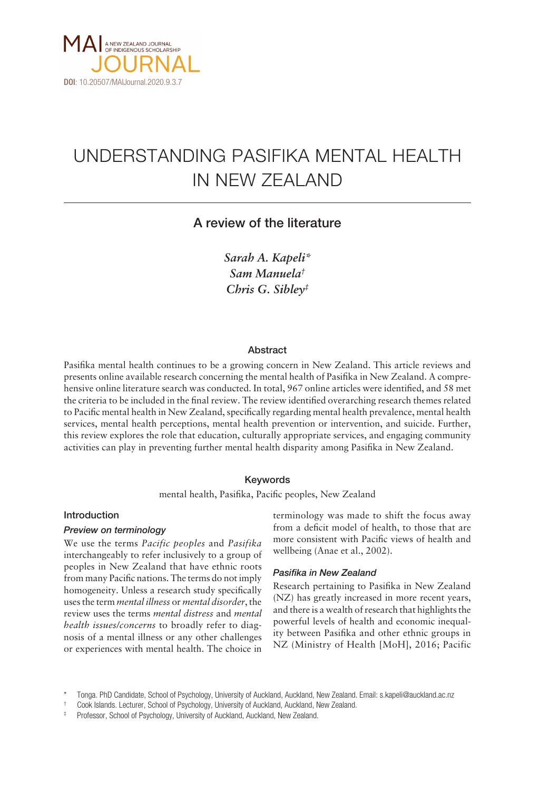

# UNDERSTANDING PASIFIKA MENTAL HEALTH IN NEW ZEALAND

## A review of the literature

*Sarah A. Kapeli\* Sam Manuela† Chris G. Sibley‡*

## Abstract

Pasifika mental health continues to be a growing concern in New Zealand. This article reviews and presents online available research concerning the mental health of Pasifika in New Zealand. A comprehensive online literature search was conducted. In total, 967 online articles were identified, and 58 met the criteria to be included in the final review. The review identified overarching research themes related to Pacific mental health in New Zealand, specifically regarding mental health prevalence, mental health services, mental health perceptions, mental health prevention or intervention, and suicide. Further, this review explores the role that education, culturally appropriate services, and engaging community activities can play in preventing further mental health disparity among Pasifika in New Zealand.

## Keywords

mental health, Pasifika, Pacific peoples, New Zealand

## Introduction

## *Preview on terminology*

We use the terms *Pacific peoples* and *Pasifika*  interchangeably to refer inclusively to a group of peoples in New Zealand that have ethnic roots from many Pacific nations. The terms do not imply homogeneity. Unless a research study specifically uses the term *mental illness* or *mental disorder*, the review uses the terms *mental distress* and *mental health issues/concerns* to broadly refer to diagnosis of a mental illness or any other challenges or experiences with mental health. The choice in terminology was made to shift the focus away from a deficit model of health, to those that are more consistent with Pacific views of health and wellbeing (Anae et al., 2002).

## *Pasifika in New Zealand*

Research pertaining to Pasifika in New Zealand (NZ) has greatly increased in more recent years, and there is a wealth of research that highlights the powerful levels of health and economic inequality between Pasifika and other ethnic groups in NZ (Ministry of Health [MoH], 2016; Pacific

<sup>\*</sup> Tonga. PhD Candidate, School of Psychology, University of Auckland, Auckland, New Zealand. Email: [s.kapeli@auckland.ac.nz](mailto:skap012@aucklanduni.ac.nz)

Cook Islands. Lecturer, School of Psychology, University of Auckland, Auckland, New Zealand.

<sup>‡</sup> Professor, School of Psychology, University of Auckland, Auckland, New Zealand.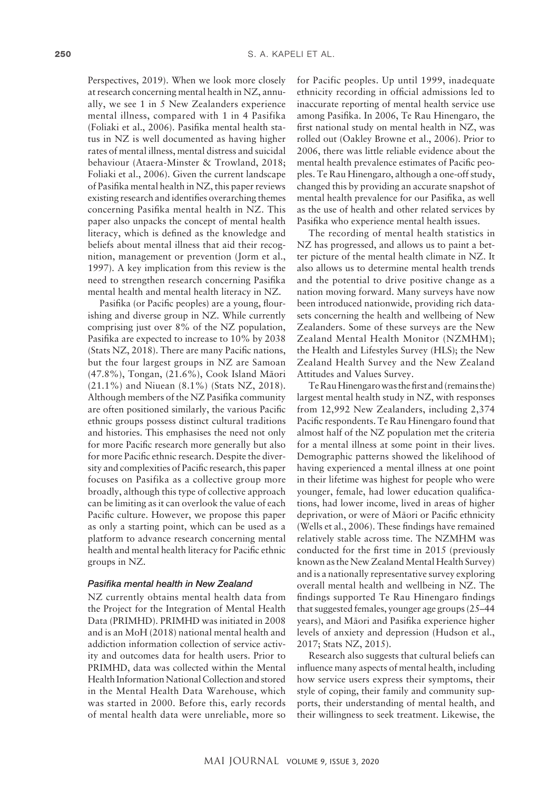Perspectives, 2019). When we look more closely at research concerning mental health in NZ, annually, we see 1 in 5 New Zealanders experience mental illness, compared with 1 in 4 Pasifika (Foliaki et al., 2006). Pasifika mental health status in NZ is well documented as having higher rates of mental illness, mental distress and suicidal behaviour (Ataera-Minster & Trowland, 2018; Foliaki et al., 2006). Given the current landscape of Pasifika mental health in NZ, this paper reviews existing research and identifies overarching themes concerning Pasifika mental health in NZ. This paper also unpacks the concept of mental health literacy, which is defined as the knowledge and beliefs about mental illness that aid their recognition, management or prevention (Jorm et al., 1997). A key implication from this review is the need to strengthen research concerning Pasifika mental health and mental health literacy in NZ.

Pasifika (or Pacific peoples) are a young, flourishing and diverse group in NZ. While currently comprising just over 8% of the NZ population, Pasifika are expected to increase to 10% by 2038 (Stats NZ, 2018). There are many Pacific nations, but the four largest groups in NZ are Samoan (47.8%), Tongan, (21.6%), Cook Island Mäori (21.1%) and Niuean (8.1%) (Stats NZ, 2018). Although members of the NZ Pasifika community are often positioned similarly, the various Pacific ethnic groups possess distinct cultural traditions and histories. This emphasises the need not only for more Pacific research more generally but also for more Pacific ethnic research. Despite the diversity and complexities of Pacific research, this paper focuses on Pasifika as a collective group more broadly, although this type of collective approach can be limiting as it can overlook the value of each Pacific culture. However, we propose this paper as only a starting point, which can be used as a platform to advance research concerning mental health and mental health literacy for Pacific ethnic groups in NZ.

#### *Pasifika mental health in New Zealand*

NZ currently obtains mental health data from the Project for the Integration of Mental Health Data (PRIMHD). PRIMHD was initiated in 2008 and is an MoH (2018) national mental health and addiction information collection of service activity and outcomes data for health users. Prior to PRIMHD, data was collected within the Mental Health Information National Collection and stored in the Mental Health Data Warehouse, which was started in 2000. Before this, early records of mental health data were unreliable, more so

for Pacific peoples. Up until 1999, inadequate ethnicity recording in official admissions led to inaccurate reporting of mental health service use among Pasifika. In 2006, Te Rau Hinengaro, the first national study on mental health in NZ, was rolled out (Oakley Browne et al., 2006). Prior to 2006, there was little reliable evidence about the mental health prevalence estimates of Pacific peoples. Te Rau Hinengaro, although a one-off study, changed this by providing an accurate snapshot of mental health prevalence for our Pasifika, as well as the use of health and other related services by Pasifika who experience mental health issues.

The recording of mental health statistics in NZ has progressed, and allows us to paint a better picture of the mental health climate in NZ. It also allows us to determine mental health trends and the potential to drive positive change as a nation moving forward. Many surveys have now been introduced nationwide, providing rich datasets concerning the health and wellbeing of New Zealanders. Some of these surveys are the New Zealand Mental Health Monitor (NZMHM); the Health and Lifestyles Survey (HLS); the New Zealand Health Survey and the New Zealand Attitudes and Values Survey.

Te Rau Hinengaro was the first and (remains the) largest mental health study in NZ, with responses from 12,992 New Zealanders, including 2,374 Pacific respondents. Te Rau Hinengaro found that almost half of the NZ population met the criteria for a mental illness at some point in their lives. Demographic patterns showed the likelihood of having experienced a mental illness at one point in their lifetime was highest for people who were younger, female, had lower education qualifications, had lower income, lived in areas of higher deprivation, or were of Mäori or Pacific ethnicity (Wells et al., 2006). These findings have remained relatively stable across time. The NZMHM was conducted for the first time in 2015 (previously known as the New Zealand Mental Health Survey) and is a nationally representative survey exploring overall mental health and wellbeing in NZ. The findings supported Te Rau Hinengaro findings that suggested females, younger age groups (25–44 years), and Mäori and Pasifika experience higher levels of anxiety and depression (Hudson et al., 2017; Stats NZ, 2015).

Research also suggests that cultural beliefs can influence many aspects of mental health, including how service users express their symptoms, their style of coping, their family and community supports, their understanding of mental health, and their willingness to seek treatment. Likewise, the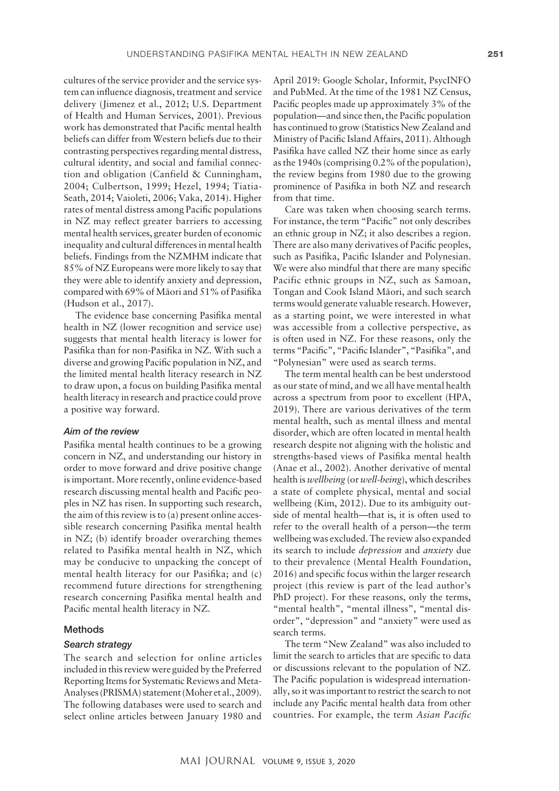cultures of the service provider and the service system can influence diagnosis, treatment and service delivery (Jimenez et al., 2012; U.S. Department of Health and Human Services, 2001). Previous work has demonstrated that Pacific mental health beliefs can differ from Western beliefs due to their contrasting perspectives regarding mental distress, cultural identity, and social and familial connection and obligation (Canfield & Cunningham, 2004; Culbertson, 1999; Hezel, 1994; Tiatia-Seath, 2014; Vaioleti, 2006; Vaka, 2014). Higher rates of mental distress among Pacific populations in NZ may reflect greater barriers to accessing mental health services, greater burden of economic inequality and cultural differences in mental health beliefs. Findings from the NZMHM indicate that 85% of NZ Europeans were more likely to say that they were able to identify anxiety and depression, compared with 69% of Mäori and 51% of Pasifika (Hudson et al., 2017).

The evidence base concerning Pasifika mental health in NZ (lower recognition and service use) suggests that mental health literacy is lower for Pasifika than for non-Pasifika in NZ. With such a diverse and growing Pacific population in NZ, and the limited mental health literacy research in NZ to draw upon, a focus on building Pasifika mental health literacy in research and practice could prove a positive way forward.

## *Aim of the review*

Pasifika mental health continues to be a growing concern in NZ, and understanding our history in order to move forward and drive positive change is important. More recently, online evidence-based research discussing mental health and Pacific peoples in NZ has risen. In supporting such research, the aim of this review is to (a) present online accessible research concerning Pasifika mental health in NZ; (b) identify broader overarching themes related to Pasifika mental health in NZ, which may be conducive to unpacking the concept of mental health literacy for our Pasifika; and (c) recommend future directions for strengthening research concerning Pasifika mental health and Pacific mental health literacy in NZ.

#### Methods

## *Search strategy*

The search and selection for online articles included in this review were guided by the Preferred Reporting Items for Systematic Reviews and Meta-Analyses (PRISMA) statement (Moher et al., 2009). The following databases were used to search and select online articles between January 1980 and

April 2019: Google Scholar, Informit, PsycINFO and PubMed. At the time of the 1981 NZ Census, Pacific peoples made up approximately 3% of the population—and since then, the Pacific population has continued to grow (Statistics New Zealand and Ministry of Pacific Island Affairs, 2011). Although Pasifika have called NZ their home since as early as the 1940s (comprising 0.2% of the population), the review begins from 1980 due to the growing prominence of Pasifika in both NZ and research from that time.

Care was taken when choosing search terms. For instance, the term "Pacific" not only describes an ethnic group in NZ; it also describes a region. There are also many derivatives of Pacific peoples, such as Pasifika, Pacific Islander and Polynesian. We were also mindful that there are many specific Pacific ethnic groups in NZ, such as Samoan, Tongan and Cook Island Mäori, and such search terms would generate valuable research. However, as a starting point, we were interested in what was accessible from a collective perspective, as is often used in NZ. For these reasons, only the terms "Pacific", "Pacific Islander", "Pasifika", and "Polynesian" were used as search terms.

The term mental health can be best understood as our state of mind, and we all have mental health across a spectrum from poor to excellent (HPA, 2019). There are various derivatives of the term mental health, such as mental illness and mental disorder, which are often located in mental health research despite not aligning with the holistic and strengths-based views of Pasifika mental health (Anae et al., 2002). Another derivative of mental health is *wellbeing* (or *well-being*), which describes a state of complete physical, mental and social wellbeing (Kim, 2012). Due to its ambiguity outside of mental health—that is, it is often used to refer to the overall health of a person—the term wellbeing was excluded. The review also expanded its search to include *depression* and *anxiety* due to their prevalence (Mental Health Foundation, 2016) and specific focus within the larger research project (this review is part of the lead author's PhD project). For these reasons, only the terms, "mental health", "mental illness", "mental disorder", "depression" and "anxiety" were used as search terms.

The term "New Zealand" was also included to limit the search to articles that are specific to data or discussions relevant to the population of NZ. The Pacific population is widespread internationally, so it was important to restrict the search to not include any Pacific mental health data from other countries. For example, the term *Asian Pacific*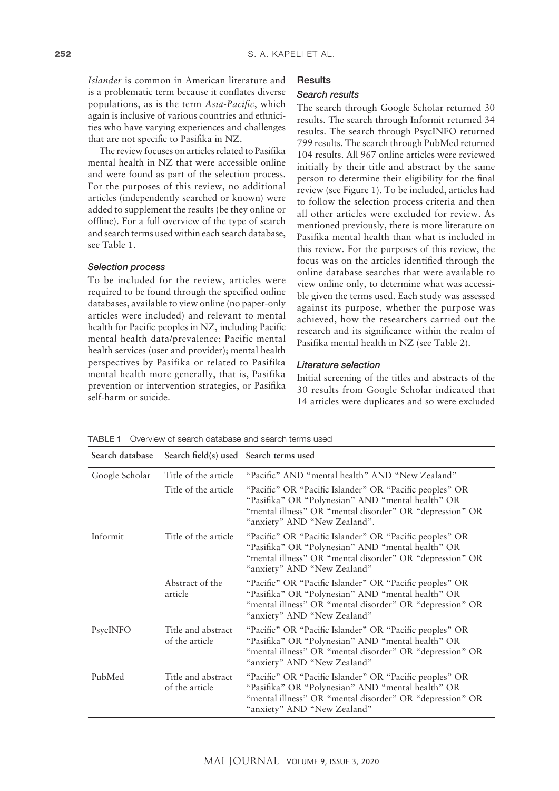*Islander* is common in American literature and is a problematic term because it conflates diverse populations, as is the term *Asia-Pacific*, which again is inclusive of various countries and ethnicities who have varying experiences and challenges that are not specific to Pasifika in NZ.

The review focuses on articles related to Pasifika mental health in NZ that were accessible online and were found as part of the selection process. For the purposes of this review, no additional articles (independently searched or known) were added to supplement the results (be they online or offline). For a full overview of the type of search and search terms used within each search database, see Table 1.

## *Selection process*

To be included for the review, articles were required to be found through the specified online databases, available to view online (no paper-only articles were included) and relevant to mental health for Pacific peoples in NZ, including Pacific mental health data/prevalence; Pacific mental health services (user and provider); mental health perspectives by Pasifika or related to Pasifika mental health more generally, that is, Pasifika prevention or intervention strategies, or Pasifika self-harm or suicide.

#### **Results**

#### *Search results*

The search through Google Scholar returned 30 results. The search through Informit returned 34 results. The search through PsycINFO returned 799 results. The search through PubMed returned 104 results. All 967 online articles were reviewed initially by their title and abstract by the same person to determine their eligibility for the final review (see Figure 1). To be included, articles had to follow the selection process criteria and then all other articles were excluded for review. As mentioned previously, there is more literature on Pasifika mental health than what is included in this review. For the purposes of this review, the focus was on the articles identified through the online database searches that were available to view online only, to determine what was accessible given the terms used. Each study was assessed against its purpose, whether the purpose was achieved, how the researchers carried out the research and its significance within the realm of Pasifika mental health in NZ (see Table 2).

## *Literature selection*

Initial screening of the titles and abstracts of the 30 results from Google Scholar indicated that 14 articles were duplicates and so were excluded

| Search database | Search field(s) used Search terms used |                                                                                                                                                                                                          |
|-----------------|----------------------------------------|----------------------------------------------------------------------------------------------------------------------------------------------------------------------------------------------------------|
| Google Scholar  | Title of the article                   | "Pacific" AND "mental health" AND "New Zealand"                                                                                                                                                          |
|                 | Title of the article                   | "Pacific" OR "Pacific Islander" OR "Pacific peoples" OR<br>"Pasifika" OR "Polynesian" AND "mental health" OR<br>"mental illness" OR "mental disorder" OR "depression" OR<br>"anxiety" AND "New Zealand". |
| Informit        | Title of the article                   | "Pacific" OR "Pacific Islander" OR "Pacific peoples" OR<br>"Pasifika" OR "Polynesian" AND "mental health" OR<br>"mental illness" OR "mental disorder" OR "depression" OR<br>"anxiety" AND "New Zealand"  |
|                 | Abstract of the<br>article             | "Pacific" OR "Pacific Islander" OR "Pacific peoples" OR<br>"Pasifika" OR "Polynesian" AND "mental health" OR<br>"mental illness" OR "mental disorder" OR "depression" OR<br>"anxiety" AND "New Zealand"  |
| PsycINFO        | Title and abstract<br>of the article   | "Pacific" OR "Pacific Islander" OR "Pacific peoples" OR<br>"Pasifika" OR "Polynesian" AND "mental health" OR<br>"mental illness" OR "mental disorder" OR "depression" OR<br>"anxiety" AND "New Zealand"  |
| PubMed          | Title and abstract<br>of the article   | "Pacific" OR "Pacific Islander" OR "Pacific peoples" OR<br>"Pasifika" OR "Polynesian" AND "mental health" OR<br>"mental illness" OR "mental disorder" OR "depression" OR<br>"anxiety" AND "New Zealand"  |

TABLE 1 Overview of search database and search terms used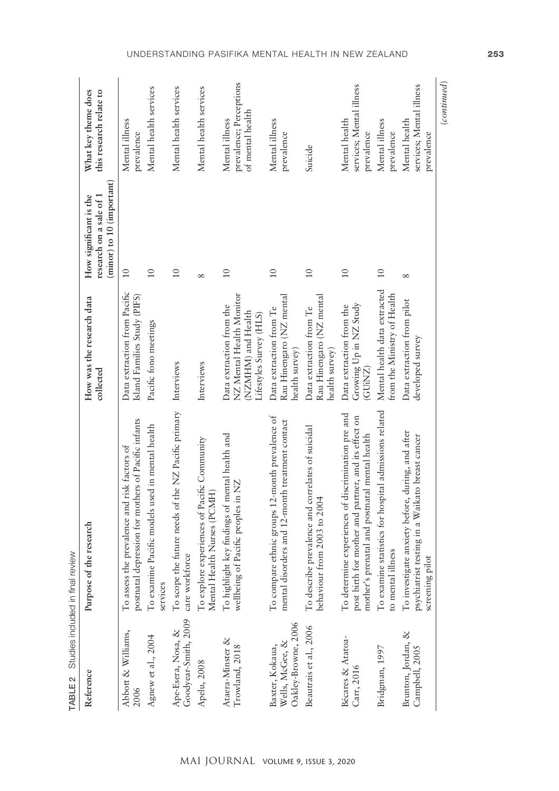| TABLE 2                                                   | Studies included in final review                                                                                                                            |                                                                                                       |                                                                                |                                                               |
|-----------------------------------------------------------|-------------------------------------------------------------------------------------------------------------------------------------------------------------|-------------------------------------------------------------------------------------------------------|--------------------------------------------------------------------------------|---------------------------------------------------------------|
| Reference                                                 | Purpose of the research                                                                                                                                     | How was the research data<br>$\rm collected$                                                          | (minor) to 10 (important)<br>research on a sale of 1<br>How significant is the | What key theme does<br>this research relate to                |
| Abbott & Williams,<br>2006                                | postnatal depression for mothers of Pacific infants<br>To assess the prevalence and risk factors of                                                         | Data extraction from Pacific<br>Island Families Study (PIFS)                                          | $\overline{10}$                                                                | Mental illness<br>prevalence                                  |
| Agnew et al., 2004                                        | To examine Pacific models used in mental health<br>services                                                                                                 | Pacific fono meetings                                                                                 | $\overline{10}$                                                                | Mental health services                                        |
| Goodyear-Smith, 2009<br>Ape-Esera, Nosa, &                | To scope the future needs of the NZ Pacific primary<br>care workforce                                                                                       | Interviews                                                                                            | 10                                                                             | Mental health services                                        |
| Apelu, 2008                                               | To explore experiences of Pacific Community<br>Mental Health Nurses (PCMH)                                                                                  | Interviews                                                                                            | $\infty$                                                                       | Mental health services                                        |
| Ataera-Minster &<br>Trowland, 2018                        | To highlight key findings of mental health and<br>wellbeing of Pacific peoples in NZ                                                                        | NZ Mental Health Monitor<br>Data extraction from the<br>(NZMHM) and Health<br>Lifestyles Survey (HLS) | 10                                                                             | prevalence; Perceptions<br>of mental health<br>Mental illness |
| Oakley-Browne, 2006<br>Wells, McGee, &<br>Baxter, Kokaua, | To compare ethnic groups 12-month prevalence of<br>treatment contact<br>mental disorders and 12-month                                                       | Rau Hinengaro (NZ mental<br>Data extraction from Te<br>health survey)                                 | 10                                                                             | Mental illness<br>prevalence                                  |
| Beautrais et al., 2006                                    | To describe prevalence and correlates of suicidal<br>behaviour from 2003 to 2004                                                                            | Rau Hinengaro (NZ mental<br>Data extraction from Te<br>health survey)                                 | 10                                                                             | Suicide                                                       |
| Bécares & Atatoa-<br>Carr, 2016                           | To determine experiences of discrimination pre and<br>post birth for mother and partner, and its effect on<br>mother's prenatal and postnatal mental health | Growing Up in NZ Study<br>Data extraction from the<br>(GUINZ)                                         | 10                                                                             | services; Mental illness<br>Mental health<br>prevalence       |
| Bridgman, 1997                                            | To examine statistics for hospital admissions related<br>to mental illness                                                                                  | Mental health data extracted<br>from the Ministry of Health                                           | 10                                                                             | Mental illness<br>prevalence                                  |
| Brunton, Jordan, &<br>Campbell, 2005                      | To investigate anxiety before, during, and after<br>psychiatrist testing in a Waikato breast cancer<br>screening pilot                                      | Data extraction from pilot<br>developed survey                                                        | ${}^{\circ}$                                                                   | services; Mental illness<br>Mental health<br>prevalence       |
|                                                           |                                                                                                                                                             |                                                                                                       |                                                                                | (continued)                                                   |

## Understanding Pasifika mental health in New Zealand 253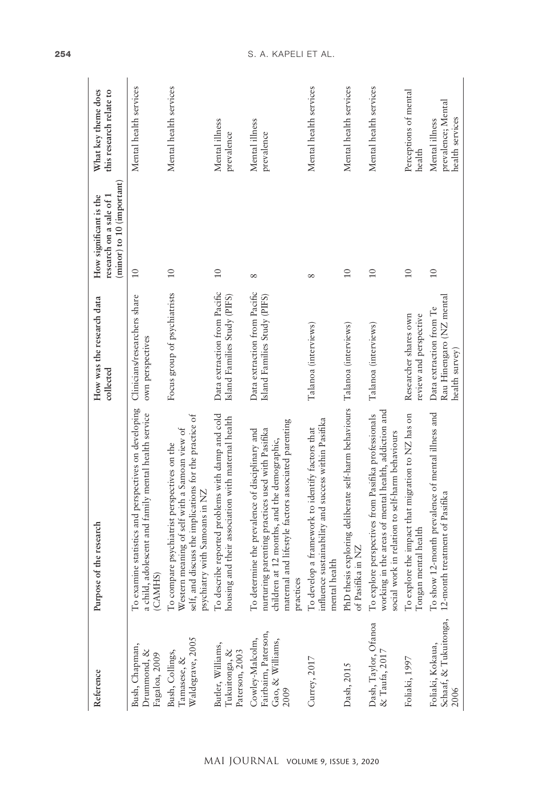| Reference                                                           | Purpose of the research                                                                                                                                                                                                   | How was the research data<br>collected                                | (minor) to 10 (important)<br>How significant is the<br>research on a sale of 1 | What key theme does<br>this research relate to          |
|---------------------------------------------------------------------|---------------------------------------------------------------------------------------------------------------------------------------------------------------------------------------------------------------------------|-----------------------------------------------------------------------|--------------------------------------------------------------------------------|---------------------------------------------------------|
| Bush, Chapman,<br>Drummond, &<br>Fagaloa, 2009                      | To examine statistics and perspectives on developing<br>a child, adolescent and family mental health service<br>(CAMIHS)                                                                                                  | Clinicians/researchers share<br>own perspectives                      | 10                                                                             | Mental health services                                  |
| Waldegrave, 2005<br>Bush, Collings,<br>Tamasese, &                  | self, and discuss the implications for the practice of<br>a Samoan view of<br>To compare psychiatrist perspectives on the<br>psychiatry with Samoans in NZ<br>Western meaning of self with                                | Focus group of psychiatrists                                          | 10                                                                             | Mental health services                                  |
| Butler, Williams,<br>Tukuitonga, &<br>Paterson, 2003                | To describe reported problems with damp and cold<br>housing and their association with maternal health                                                                                                                    | Data extraction from Pacific<br>Island Families Study (PIFS)          | $\overline{10}$                                                                | Mental illness<br>prevalence                            |
| Fairbairn, Paterson,<br>Cowley-Malcolm,<br>Gao, & Williams,<br>2009 | associated parenting<br>To determine the prevalence of disciplinary and<br>nurturing parenting practices used with Pasifika<br>children at 12 months, and the demographic,<br>maternal and lifestyle factors<br>practices | Data extraction from Pacific<br>Island Families Study (PIFS)          | $\infty$                                                                       | Mental illness<br>prevalence                            |
| Currey, 2017                                                        | influence sustainability and success within Pasifika<br>To develop a framework to identify factors that<br>mental health                                                                                                  | Talanoa (interviews)                                                  | $\infty$                                                                       | Mental health services                                  |
| Dash, 2015                                                          | te self-harm behaviours<br>PhD thesis exploring delibera<br>of Pasifika in NZ                                                                                                                                             | Talanoa (interviews)                                                  | 10                                                                             | Mental health services                                  |
| Dash, Taylor, Ofanoa<br>& Taufa, 2017                               | working in the areas of mental health, addiction and<br>Pasifika professionals<br>social work in relation to self-harm behaviours<br>To explore perspectives from                                                         | Talanoa (interviews)                                                  | 10                                                                             | Mental health services                                  |
| Foliaki, 1997                                                       | To explore the impact that migration to NZ has on<br>Tongan mental health                                                                                                                                                 | Researcher shares own<br>review and perspective                       | $\overline{10}$                                                                | Perceptions of mental<br>health                         |
| Schaaf, & Tukuitonga,<br>Foliaki, Kokaua,<br>2006                   | To show 12-month prevalence of mental illness and<br>12-month treatment of Pasifika                                                                                                                                       | Rau Hinengaro (NZ mental<br>Data extraction from Te<br>health survey) | $\overline{10}$                                                                | prevalence; Mental<br>health services<br>Mental illness |

## 254 S. A. KAPELI ET AL.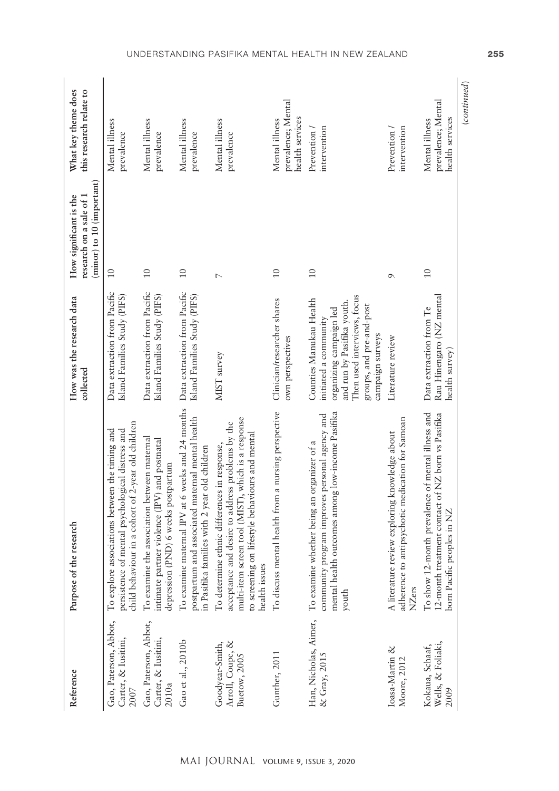| Reference                                             | Purpose of the research                                                                                                                                                                                                    | How was the research data<br>collected                                                                                                                                                   | (minor) to 10 (important)<br>How significant is the<br>research on a sale of 1 | What key theme does<br>this research relate to          |
|-------------------------------------------------------|----------------------------------------------------------------------------------------------------------------------------------------------------------------------------------------------------------------------------|------------------------------------------------------------------------------------------------------------------------------------------------------------------------------------------|--------------------------------------------------------------------------------|---------------------------------------------------------|
| Gao, Paterson, Abbot,<br>Carter, & Iusitini,<br>2007  | child behaviour in a cohort of 2-year old children<br>To explore associations between the timing and<br>persistence of mental psychological distress and                                                                   | Data extraction from Pacific<br>Island Families Study (PIFS)                                                                                                                             | $\overline{10}$                                                                | Mental illness<br>prevalence                            |
| Gao, Paterson, Abbot,<br>Carter, & Iusitini,<br>2010a | To examine the association between maternal<br>intimate partner violence (IPV) and postnatal<br>depression (PND) 6 weeks postpartum                                                                                        | Data extraction from Pacific<br>Island Families Study (PIFS)                                                                                                                             | 10                                                                             | Mental illness<br>prevalence                            |
| Gao et al., 2010b                                     | To examine maternal IPV at 6 weeks and 24 months<br>postpartum and associated maternal mental health<br>in Pasifika families with 2 year old children                                                                      | Data extraction from Pacific<br>Island Families Study (PIFS)                                                                                                                             | 10                                                                             | Mental illness<br>prevalence                            |
| Arroll, Coupe, &<br>Goodyear-Smith,<br>Buetow, 2005   | multi-item screen tool (MIST), which is a response<br>acceptance and desire to address problems by the<br>to screening on lifestyle behaviours and mental<br>To determine ethnic differences in response,<br>health issues | MIST survey                                                                                                                                                                              | $\overline{ }$                                                                 | Mental illness<br>prevalence                            |
| Gunther, 2011                                         | To discuss mental health from a nursing perspective                                                                                                                                                                        | Clinician/researcher shares<br>own perspectives                                                                                                                                          | $\overline{10}$                                                                | prevalence; Mental<br>health services<br>Mental illness |
| & Gray, 2015                                          | mental health outcomes among low-income Pasifika<br>community program improves personal agency and<br>Han, Nicholas, Aimer, To examine whether being an organizer of a<br>youth                                            | Then used interviews, focus<br>Counties Manukau Health<br>and run by Pasifika youth.<br>groups, and pre-and-post<br>organizing campaign led<br>initiated a community<br>campaign surveys | $\overline{10}$                                                                | intervention<br>Prevention /                            |
| Ioasa-Martin &<br>Moore, 2012                         | adherence to antipsychotic medication for Samoan<br>A literature review exploring knowledge about<br>NZers                                                                                                                 | Literature review                                                                                                                                                                        | $\sigma$                                                                       | Prevention /<br>intervention                            |
| Wells, & Foliaki,<br>Kokaua, Schaaf,<br>2009          | To show 12-month prevalence of mental illness and<br>12-month treatment contact of NZ born vs Pasifika<br>born Pacific peoples in NZ                                                                                       | Rau Hinengaro (NZ mental<br>Data extraction from Te<br>health survey)                                                                                                                    | 10                                                                             | prevalence; Mental<br>health services<br>Mental illness |
|                                                       |                                                                                                                                                                                                                            |                                                                                                                                                                                          |                                                                                | (continued)                                             |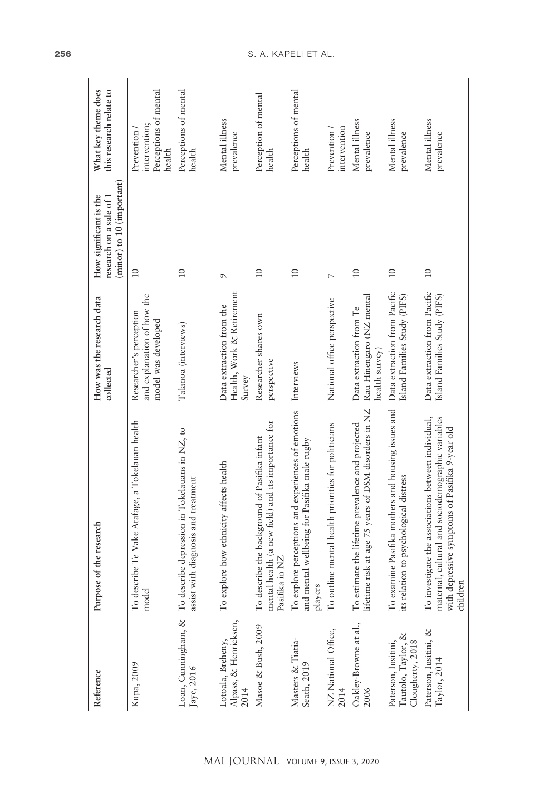| Reference                                                     | Purpose of the research                                                                                                                                                    | How was the research data<br>collected                                       | (minor) to 10 (important)<br>How significant is the<br>research on a sale of 1 | What key theme does<br>this research relate to                  |
|---------------------------------------------------------------|----------------------------------------------------------------------------------------------------------------------------------------------------------------------------|------------------------------------------------------------------------------|--------------------------------------------------------------------------------|-----------------------------------------------------------------|
| Kupa, 2009                                                    | a Tokelauan health<br>To describe Te Vake Atafage,<br>model                                                                                                                | and explanation of how the<br>Researcher's perception<br>model was developed | $\frac{1}{1}$                                                                  | Perceptions of mental<br>intervention;<br>Prevention/<br>health |
| Loan, Cunningham, &<br>Jaye, 2016                             | To describe depression in Tokelauans in NZ, to<br>assist with diagnosis and treatment                                                                                      | Talanoa (interviews)                                                         | $\overline{10}$                                                                | Perceptions of mental<br>health                                 |
| Alpass, & Henricksen,<br>Lotoala, Breheny,<br>2014            | To explore how ethnicity affects health                                                                                                                                    | Health, Work & Retirement<br>Data extraction from the<br>Survey              | $\sigma$                                                                       | Mental illness<br>prevalence                                    |
| Masoe & Bush, 2009                                            | mental health (a new field) and its importance for<br>To describe the background of Pasifika infant<br>Pasifika in NZ                                                      | Researcher shares own<br>perspective                                         | $\overline{10}$                                                                | Perception of mental<br>health                                  |
| Masters & Tiatia-<br>Seath, 2019                              | To explore perceptions and experiences of emotions<br>and mental wellbeing for Pasifika male rugby<br>players                                                              | Interviews                                                                   | 10                                                                             | Perceptions of mental<br>health                                 |
| NZ National Office,<br>2014                                   | To outline mental health priorities for politicians                                                                                                                        | National office perspective                                                  | $\overline{a}$                                                                 | intervention<br>Prevention/                                     |
| Oakley-Browne at al.,<br>2006                                 | lifetime risk at age 75 years of DSM disorders in NZ<br>To estimate the lifetime prevalence and projected                                                                  | Rau Hinengaro (NZ mental<br>Data extraction from Te<br>health survey)        | 10                                                                             | Mental illness<br>prevalence                                    |
| Tautolo, Taylor, &<br>Paterson, Iusitini,<br>Clougherty, 2018 | To examine Pasifika mothers and housing issues and<br>its relation to psychological distress                                                                               | Data extraction from Pacific<br>Island Families Study (PIFS)                 | 10                                                                             | Mental illness<br>prevalence                                    |
| Paterson, Iusitini, &<br>Taylor, 2014                         | To investigate the associations between individual,<br>maternal, cultural and sociodemographic variables<br>Pasifika 9-year old<br>with depressive symptoms of<br>children | Data extraction from Pacific<br>Island Families Study (PIFS)                 | $10$                                                                           | Mental illness<br>prevalence                                    |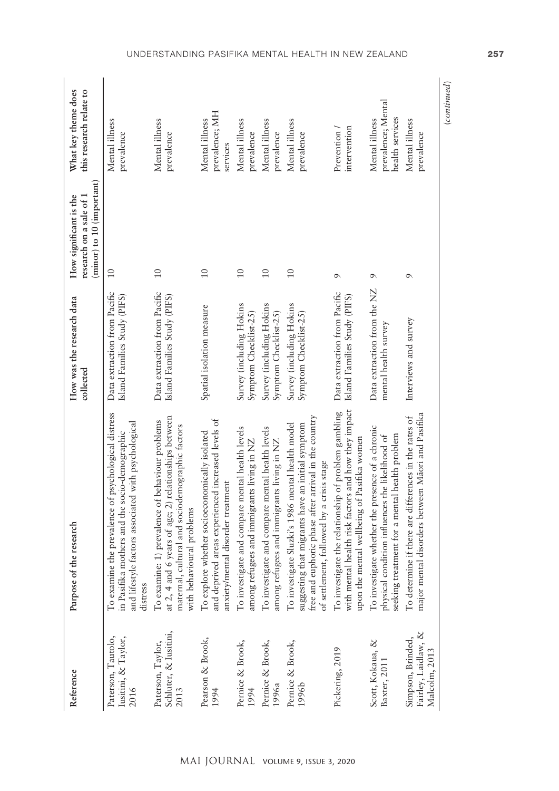| Reference                                                 | Purpose of the research                                                                                                                                                                                   | How was the research data<br>collected                       | (minor) to 10 (important)<br>research on a sale of 1<br>How significant is the | What key theme does<br>this research relate to          |
|-----------------------------------------------------------|-----------------------------------------------------------------------------------------------------------------------------------------------------------------------------------------------------------|--------------------------------------------------------------|--------------------------------------------------------------------------------|---------------------------------------------------------|
| Paterson, Tautolo,<br>Iusitini, & Taylor,<br>2016         | To examine the prevalence of psychological distress<br>and lifestyle factors associated with psychological<br>in Pasifika mothers and the socio-demographic<br>distress                                   | Data extraction from Pacific<br>Island Families Study (PIFS) | 10                                                                             | Mental illness<br>prevalence                            |
| Schluter, & Iusitini,<br>Paterson, Taylor,<br>2013        | at 2, 4 and 6 years of age; 2) relationships between<br>To examine: 1) prevalence of behaviour problems<br>maternal, cultural and sociodemographic factors<br>with behavioural problems                   | Data extraction from Pacific<br>Island Families Study (PIFS) | $\overline{10}$                                                                | Mental illness<br>prevalence                            |
| Pearson & Brook,<br>1994                                  | and deprived areas experienced increased levels of<br>To explore whether socioeconomically isolated<br>anxiety/mental disorder treatment                                                                  | Spatial isolation measure                                    | 10                                                                             | prevalence; MH<br>Mental illness<br>services            |
| Pernice & Brook,<br>1994                                  | To investigate and compare mental health levels<br>among refugees and immigrants living in NZ                                                                                                             | Survey (including Hokins<br>Symptom Checklist-25)            | 10                                                                             | Mental illness<br>prevalence                            |
| Pernice & Brook,<br>1996a                                 | To investigate and compare mental health levels<br>among refugees and immigrants living in NZ                                                                                                             | Survey (including Hokins<br>Symptom Checklist-25)            | 10                                                                             | Mental illness<br>prevalence                            |
| Pernice & Brook,<br>1996b                                 | free and euphoric phase after arrival in the country<br>To investigate Sluzki's 1986 mental health model<br>suggesting that migrants have an initial symptom<br>of settlement, followed by a crisis stage | Survey (including Hokins<br>Symptom Checklist-25)            | 10                                                                             | Mental illness<br>prevalence                            |
| Pickering, 2019                                           | with mental health risk factors and how they impact<br>To investigate the relationship of problem gambling<br>upon the mental wellbeing of Pasifika women                                                 | Data extraction from Pacific<br>Island Families Study (PIFS) | $\sigma$                                                                       | intervention<br>Prevention /                            |
| Scott, Kokaua, &<br>Baxter, 2011                          | To investigate whether the presence of a chronic<br>seeking treatment for a mental health problem<br>physical condition influences the likelihood of                                                      | Data extraction from the NZ<br>mental health survey          | $\sigma$                                                                       | prevalence; Mental<br>health services<br>Mental illness |
| Fairley, Laidlaw, &<br>Simpson, Brinded,<br>Malcolm, 2013 | major mental disorders between Māori and Pasifika<br>To determine if there are differences in the rates of                                                                                                | Interviews and survey                                        | $\sigma$                                                                       | Mental illness<br>prevalence                            |
|                                                           |                                                                                                                                                                                                           |                                                              |                                                                                | (continued)                                             |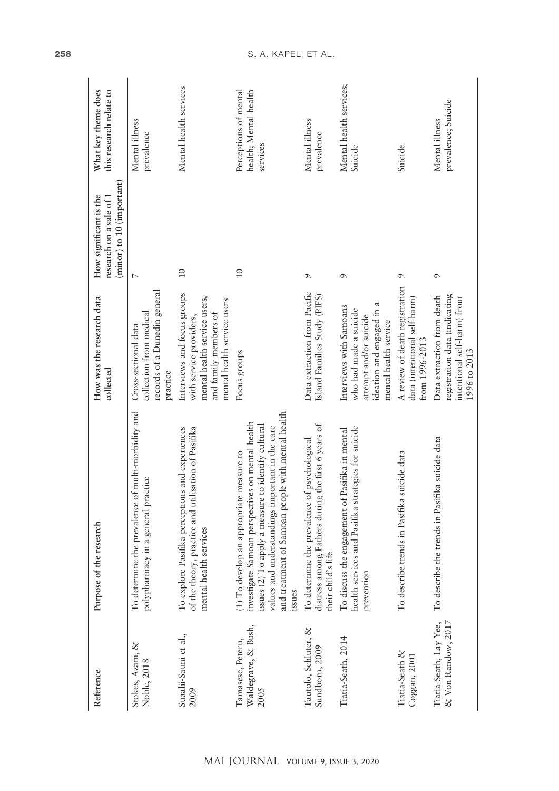| Reference                                        | Purpose of the research                                                                                                                                                                                                                                                    | How was the research data<br>collected                                                                                                         | (minor) to 10 (important)<br>How significant is the<br>research on a sale of 1 | What key theme does<br>this research relate to             |
|--------------------------------------------------|----------------------------------------------------------------------------------------------------------------------------------------------------------------------------------------------------------------------------------------------------------------------------|------------------------------------------------------------------------------------------------------------------------------------------------|--------------------------------------------------------------------------------|------------------------------------------------------------|
| Stokes, Azam, &<br>Noble, 2018                   | To determine the prevalence of multi-morbidity and<br>polypharmacy in a general practice                                                                                                                                                                                   | records of a Dunedin general<br>collection from medical<br>Cross-sectional data<br>practice                                                    | $\overline{ }$                                                                 | Mental illness<br>prevalence                               |
| Suaalii-Sauni et al.,<br>2009                    | of the theory, practice and utilisation of Pasifika<br>To explore Pasifika perceptions and experiences<br>mental health services                                                                                                                                           | Interviews and focus groups<br>mental health service users,<br>mental health service users<br>and family members of<br>with service providers, | $\overline{10}$                                                                | Mental health services                                     |
| Waldegrave, & Bush,<br>Tamasese, Peteru,<br>2005 | and treatment of Samoan people with mental health<br>investigate Samoan perspectives on mental health<br>to identify cultural<br>values and understandings important in the care<br>measure to<br>(1) To develop an appropriate<br>issues (2) To apply a measure<br>issues | Focus groups                                                                                                                                   | 10                                                                             | Perceptions of mental<br>health; Mental health<br>services |
| Tautolo, Schluter, &<br>Sundborn, 2009           | the first 6 years of<br>To determine the prevalence of psychological<br>distress among Fathers during<br>their child's life                                                                                                                                                | Data extraction from Pacific<br>Island Families Study (PIFS)                                                                                   | $\sigma$                                                                       | Mental illness<br>prevalence                               |
| Tiatia-Seath, 2014                               | health services and Pasifika strategies for suicide<br>To discuss the engagement of Pasifika in mental<br>prevention                                                                                                                                                       | ß<br>Interviews with Samoans<br>who had made a suicide<br>ideation and engaged in<br>attempt and/or suicide<br>mental health service           | $\sigma$                                                                       | Mental health services;<br>Suicide                         |
| Tiatia-Seath &<br>Coggan, 2001                   | suicide data<br>To describe trends in Pasifika                                                                                                                                                                                                                             | A review of death registration<br>data (intentional self-harm)<br>from 1996-2013                                                               | $\circ$                                                                        | Suicide                                                    |
| & Von Randow, 2017<br>Tiatia-Seath, Lay Yee,     | To describe the trends in Pasifika suicide data                                                                                                                                                                                                                            | registration data (indicating<br>Data extraction from death<br>intentional self-harm) from<br>1996 to 2013                                     | $\sigma$                                                                       | prevalence; Suicide<br>Mental illness                      |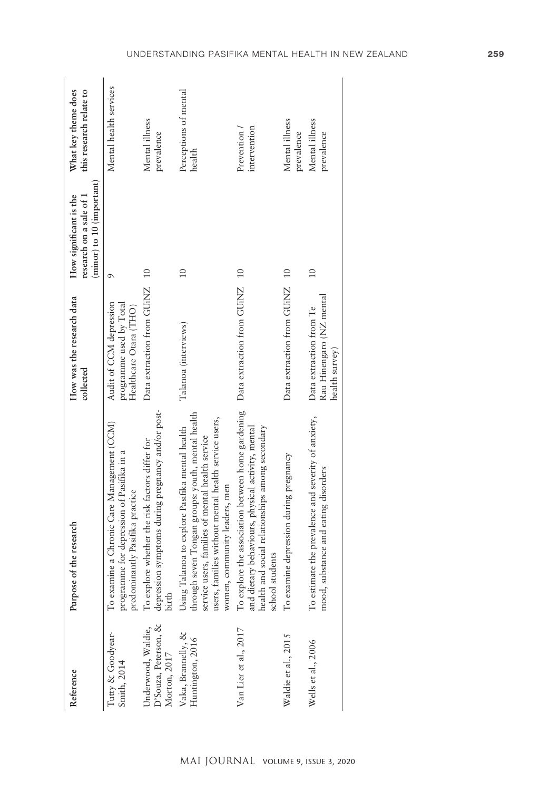| Reference                                                  | Purpose of the research                                                                                                                                                                                                                           | How was the research data<br>collected                                       | (minor) to 10 (important)<br>research on a sale of 1<br>How significant is the | What key theme does<br>this research relate to |
|------------------------------------------------------------|---------------------------------------------------------------------------------------------------------------------------------------------------------------------------------------------------------------------------------------------------|------------------------------------------------------------------------------|--------------------------------------------------------------------------------|------------------------------------------------|
| Tutty & Goodyear-<br>Smith, 2014                           | To examine a Chronic Care Management (CCM)<br>programme for depression of Pasifika in a<br>predominantly Pasifika practice                                                                                                                        | programme used by Total<br>Audit of CCM depression<br>Healthcare Otara (THO) | $\sigma$                                                                       | Mental health services                         |
| D'Souza, Peterson, &<br>Underwood, Waldie,<br>Morton, 2017 | depression symptoms during pregnancy and/or post-<br>To explore whether the risk factors differ for<br>birth                                                                                                                                      | Data extraction from GUINZ 10                                                |                                                                                | Mental illness<br>prevalence                   |
| Vaka, Brannelly, &<br>Huntington, 2016                     | through seven Tongan groups: youth, mental health<br>users, families without mental health service users,<br>Using Talanoa to explore Pasifika mental health<br>service users, families of mental health service<br>women, community leaders, men | Talanoa (interviews)                                                         | $\frac{1}{1}$                                                                  | Perceptions of mental<br>health                |
| Van Lier et al., 2017                                      | To explore the association between home gardening<br>among secondary<br>and dietary behaviours, physical activity, mental<br>health and social relationships<br>school students                                                                   | Data extraction from GUiNZ                                                   | 10                                                                             | intervention<br>Prevention /                   |
| Waldie et al., 2015                                        | pregnancy<br>To examine depression during                                                                                                                                                                                                         | Data extraction from GUINZ                                                   | $\overline{10}$                                                                | Mental illness<br>prevalence                   |
| Wells et al., 2006                                         | To estimate the prevalence and severity of anxiety,<br>mood, substance and eating disorders                                                                                                                                                       | Rau Hinengaro (NZ mental<br>Data extraction from Te<br>health survey)        | 10                                                                             | Mental illness<br>prevalence                   |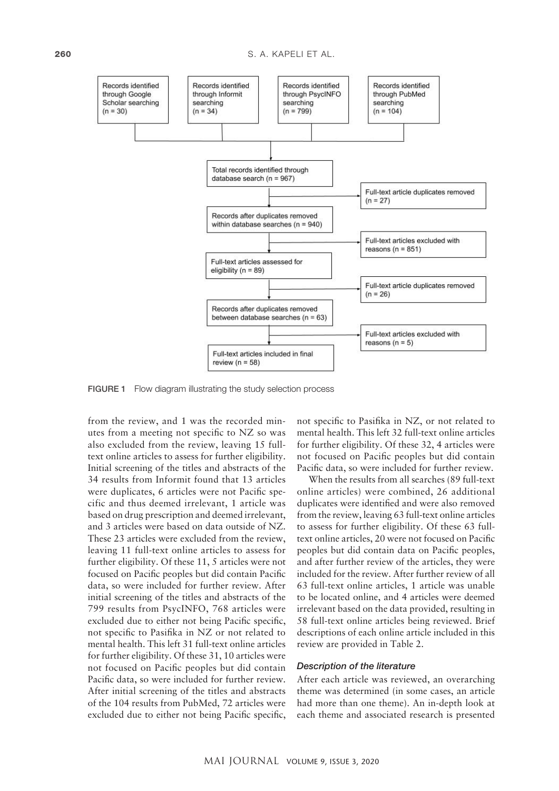

Figure 1. Flow diagram illustrating the study selection process. FIGURE 1 Flow diagram illustrating the study selection process

from the review, and 1 was the recorded minutes from a meeting not specific to NZ so was also excluded from the review, leaving 15 fulltext online articles to assess for further eligibility. Initial screening of the titles and abstracts of the 34 results from Informit found that 13 articles were duplicates, 6 articles were not Pacific specific and thus deemed irrelevant, 1 article was based on drug prescription and deemed irrelevant, and 3 articles were based on data outside of NZ. These 23 articles were excluded from the review, leaving 11 full-text online articles to assess for further eligibility. Of these 11, 5 articles were not focused on Pacific peoples but did contain Pacific data, so were included for further review. After initial screening of the titles and abstracts of the 799 results from PsycINFO, 768 articles were excluded due to either not being Pacific specific, not specific to Pasifika in NZ or not related to mental health. This left 31 full-text online articles for further eligibility. Of these 31, 10 articles were not focused on Pacific peoples but did contain Pacific data, so were included for further review. After initial screening of the titles and abstracts of the 104 results from PubMed, 72 articles were excluded due to either not being Pacific specific,

not specific to Pasifika in NZ, or not related to mental health. This left 32 full-text online articles for further eligibility. Of these 32, 4 articles were not focused on Pacific peoples but did contain Pacific data, so were included for further review.

When the results from all searches (89 full-text online articles) were combined, 26 additional duplicates were identified and were also removed from the review, leaving 63 full-text online articles to assess for further eligibility. Of these 63 fulltext online articles, 20 were not focused on Pacific peoples but did contain data on Pacific peoples, and after further review of the articles, they were included for the review. After further review of all 63 full-text online articles, 1 article was unable to be located online, and 4 articles were deemed irrelevant based on the data provided, resulting in 58 full-text online articles being reviewed. Brief descriptions of each online article included in this review are provided in Table 2.

#### *Description of the literature*

After each article was reviewed, an overarching theme was determined (in some cases, an article had more than one theme). An in-depth look at each theme and associated research is presented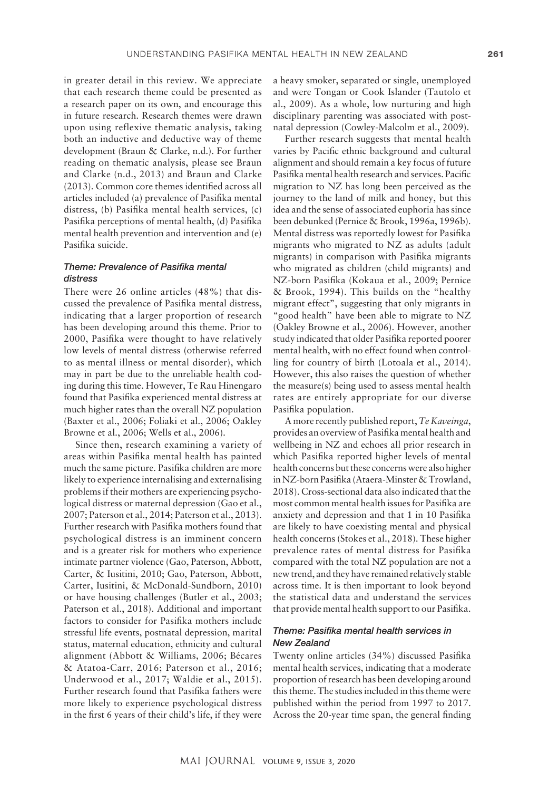in greater detail in this review. We appreciate that each research theme could be presented as a research paper on its own, and encourage this in future research. Research themes were drawn upon using reflexive thematic analysis, taking both an inductive and deductive way of theme development (Braun & Clarke, n.d.). For further reading on thematic analysis, please see Braun and Clarke (n.d., 2013) and Braun and Clarke (2013). Common core themes identified across all articles included (a) prevalence of Pasifika mental distress, (b) Pasifika mental health services, (c) Pasifika perceptions of mental health, (d) Pasifika mental health prevention and intervention and (e) Pasifika suicide.

## *Theme: Prevalence of Pasifika mental distress*

There were 26 online articles (48%) that discussed the prevalence of Pasifika mental distress, indicating that a larger proportion of research has been developing around this theme. Prior to 2000, Pasifika were thought to have relatively low levels of mental distress (otherwise referred to as mental illness or mental disorder), which may in part be due to the unreliable health coding during this time. However, Te Rau Hinengaro found that Pasifika experienced mental distress at much higher rates than the overall NZ population (Baxter et al., 2006; Foliaki et al., 2006; Oakley Browne et al., 2006; Wells et al., 2006).

Since then, research examining a variety of areas within Pasifika mental health has painted much the same picture. Pasifika children are more likely to experience internalising and externalising problems if their mothers are experiencing psychological distress or maternal depression (Gao et al., 2007; Paterson et al., 2014; Paterson et al., 2013). Further research with Pasifika mothers found that psychological distress is an imminent concern and is a greater risk for mothers who experience intimate partner violence (Gao, Paterson, Abbott, Carter, & Iusitini, 2010; Gao, Paterson, Abbott, Carter, Iusitini, & McDonald-Sundborn, 2010) or have housing challenges (Butler et al., 2003; Paterson et al., 2018). Additional and important factors to consider for Pasifika mothers include stressful life events, postnatal depression, marital status, maternal education, ethnicity and cultural alignment (Abbott & Williams, 2006; Bécares & Atatoa-Carr, 2016; Paterson et al., 2016; Underwood et al., 2017; Waldie et al., 2015). Further research found that Pasifika fathers were more likely to experience psychological distress in the first 6 years of their child's life, if they were

a heavy smoker, separated or single, unemployed and were Tongan or Cook Islander (Tautolo et al., 2009). As a whole, low nurturing and high disciplinary parenting was associated with postnatal depression (Cowley-Malcolm et al., 2009).

Further research suggests that mental health varies by Pacific ethnic background and cultural alignment and should remain a key focus of future Pasifika mental health research and services. Pacific migration to NZ has long been perceived as the journey to the land of milk and honey, but this idea and the sense of associated euphoria has since been debunked (Pernice & Brook, 1996a, 1996b). Mental distress was reportedly lowest for Pasifika migrants who migrated to NZ as adults (adult migrants) in comparison with Pasifika migrants who migrated as children (child migrants) and NZ-born Pasifika (Kokaua et al., 2009; Pernice & Brook, 1994). This builds on the "healthy migrant effect", suggesting that only migrants in "good health" have been able to migrate to NZ (Oakley Browne et al., 2006). However, another study indicated that older Pasifika reported poorer mental health, with no effect found when controlling for country of birth (Lotoala et al., 2014). However, this also raises the question of whether the measure(s) being used to assess mental health rates are entirely appropriate for our diverse Pasifika population.

A more recently published report, *Te Kaveinga*, provides an overview of Pasifika mental health and wellbeing in NZ and echoes all prior research in which Pasifika reported higher levels of mental health concerns but these concerns were also higher in NZ-born Pasifika (Ataera-Minster & Trowland, 2018). Cross-sectional data also indicated that the most common mental health issues for Pasifika are anxiety and depression and that 1 in 10 Pasifika are likely to have coexisting mental and physical health concerns (Stokes et al., 2018). These higher prevalence rates of mental distress for Pasifika compared with the total NZ population are not a new trend, and they have remained relatively stable across time. It is then important to look beyond the statistical data and understand the services that provide mental health support to our Pasifika.

## *Theme: Pasifika mental health services in New Zealand*

Twenty online articles (34%) discussed Pasifika mental health services, indicating that a moderate proportion of research has been developing around this theme. The studies included in this theme were published within the period from 1997 to 2017. Across the 20-year time span, the general finding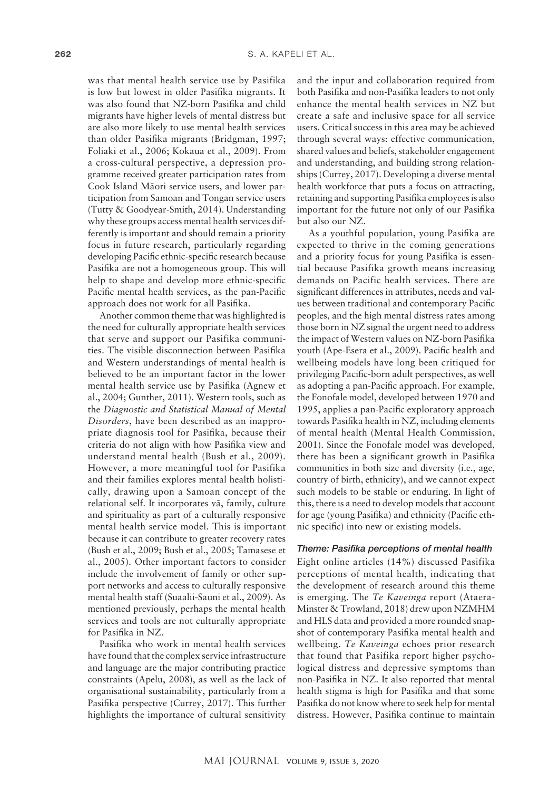was that mental health service use by Pasifika is low but lowest in older Pasifika migrants. It was also found that NZ-born Pasifika and child migrants have higher levels of mental distress but are also more likely to use mental health services than older Pasifika migrants (Bridgman, 1997; Foliaki et al., 2006; Kokaua et al., 2009). From a cross-cultural perspective, a depression programme received greater participation rates from Cook Island Mäori service users, and lower participation from Samoan and Tongan service users (Tutty & Goodyear-Smith, 2014). Understanding why these groups access mental health services differently is important and should remain a priority focus in future research, particularly regarding developing Pacific ethnic-specific research because Pasifika are not a homogeneous group. This will help to shape and develop more ethnic-specific Pacific mental health services, as the pan-Pacific approach does not work for all Pasifika.

Another common theme that was highlighted is the need for culturally appropriate health services that serve and support our Pasifika communities. The visible disconnection between Pasifika and Western understandings of mental health is believed to be an important factor in the lower mental health service use by Pasifika (Agnew et al., 2004; Gunther, 2011). Western tools, such as the *Diagnostic and Statistical Manual of Mental Disorders*, have been described as an inappropriate diagnosis tool for Pasifika, because their criteria do not align with how Pasifika view and understand mental health (Bush et al., 2009). However, a more meaningful tool for Pasifika and their families explores mental health holistically, drawing upon a Samoan concept of the relational self. It incorporates vä, family, culture and spirituality as part of a culturally responsive mental health service model. This is important because it can contribute to greater recovery rates (Bush et al., 2009; Bush et al., 2005; Tamasese et al., 2005). Other important factors to consider include the involvement of family or other support networks and access to culturally responsive mental health staff (Suaalii-Sauni et al., 2009). As mentioned previously, perhaps the mental health services and tools are not culturally appropriate for Pasifika in NZ.

Pasifika who work in mental health services have found that the complex service infrastructure and language are the major contributing practice constraints (Apelu, 2008), as well as the lack of organisational sustainability, particularly from a Pasifika perspective (Currey, 2017). This further highlights the importance of cultural sensitivity

and the input and collaboration required from both Pasifika and non-Pasifika leaders to not only enhance the mental health services in NZ but create a safe and inclusive space for all service users. Critical success in this area may be achieved through several ways: effective communication, shared values and beliefs, stakeholder engagement and understanding, and building strong relationships (Currey, 2017). Developing a diverse mental health workforce that puts a focus on attracting, retaining and supporting Pasifika employees is also important for the future not only of our Pasifika but also our NZ.

As a youthful population, young Pasifika are expected to thrive in the coming generations and a priority focus for young Pasifika is essential because Pasifika growth means increasing demands on Pacific health services. There are significant differences in attributes, needs and values between traditional and contemporary Pacific peoples, and the high mental distress rates among those born in NZ signal the urgent need to address the impact of Western values on NZ-born Pasifika youth (Ape-Esera et al., 2009). Pacific health and wellbeing models have long been critiqued for privileging Pacific-born adult perspectives, as well as adopting a pan-Pacific approach. For example, the Fonofale model, developed between 1970 and 1995, applies a pan-Pacific exploratory approach towards Pasifika health in NZ, including elements of mental health (Mental Health Commission, 2001). Since the Fonofale model was developed, there has been a significant growth in Pasifika communities in both size and diversity (i.e., age, country of birth, ethnicity), and we cannot expect such models to be stable or enduring. In light of this, there is a need to develop models that account for age (young Pasifika) and ethnicity (Pacific ethnic specific) into new or existing models.

## *Theme: Pasifika perceptions of mental health*

Eight online articles (14%) discussed Pasifika perceptions of mental health, indicating that the development of research around this theme is emerging. The *Te Kaveinga* report (Ataera-Minster & Trowland, 2018) drew upon NZMHM and HLS data and provided a more rounded snapshot of contemporary Pasifika mental health and wellbeing. *Te Kaveinga* echoes prior research that found that Pasifika report higher psychological distress and depressive symptoms than non-Pasifika in NZ. It also reported that mental health stigma is high for Pasifika and that some Pasifika do not know where to seek help for mental distress. However, Pasifika continue to maintain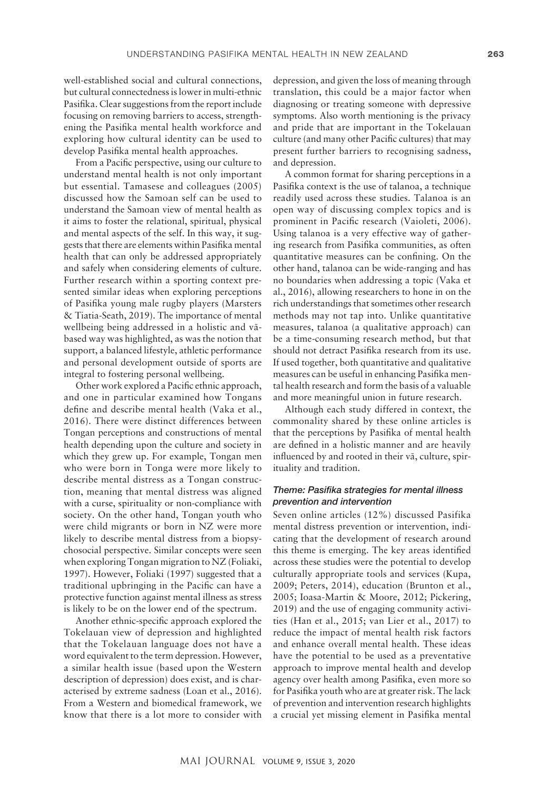well-established social and cultural connections, but cultural connectedness is lower in multi-ethnic Pasifika. Clear suggestions from the report include focusing on removing barriers to access, strengthening the Pasifika mental health workforce and exploring how cultural identity can be used to develop Pasifika mental health approaches.

From a Pacific perspective, using our culture to understand mental health is not only important but essential. Tamasese and colleagues (2005) discussed how the Samoan self can be used to understand the Samoan view of mental health as it aims to foster the relational, spiritual, physical and mental aspects of the self. In this way, it suggests that there are elements within Pasifika mental health that can only be addressed appropriately and safely when considering elements of culture. Further research within a sporting context presented similar ideas when exploring perceptions of Pasifika young male rugby players (Marsters & Tiatia-Seath, 2019). The importance of mental wellbeing being addressed in a holistic and väbased way was highlighted, as was the notion that support, a balanced lifestyle, athletic performance and personal development outside of sports are integral to fostering personal wellbeing.

Other work explored a Pacific ethnic approach, and one in particular examined how Tongans define and describe mental health (Vaka et al., 2016). There were distinct differences between Tongan perceptions and constructions of mental health depending upon the culture and society in which they grew up. For example, Tongan men who were born in Tonga were more likely to describe mental distress as a Tongan construction, meaning that mental distress was aligned with a curse, spirituality or non-compliance with society. On the other hand, Tongan youth who were child migrants or born in NZ were more likely to describe mental distress from a biopsychosocial perspective. Similar concepts were seen when exploring Tongan migration to NZ (Foliaki, 1997). However, Foliaki (1997) suggested that a traditional upbringing in the Pacific can have a protective function against mental illness as stress is likely to be on the lower end of the spectrum.

Another ethnic-specific approach explored the Tokelauan view of depression and highlighted that the Tokelauan language does not have a word equivalent to the term depression. However, a similar health issue (based upon the Western description of depression) does exist, and is characterised by extreme sadness (Loan et al., 2016). From a Western and biomedical framework, we know that there is a lot more to consider with

depression, and given the loss of meaning through translation, this could be a major factor when diagnosing or treating someone with depressive symptoms. Also worth mentioning is the privacy and pride that are important in the Tokelauan culture (and many other Pacific cultures) that may present further barriers to recognising sadness, and depression.

A common format for sharing perceptions in a Pasifika context is the use of talanoa, a technique readily used across these studies. Talanoa is an open way of discussing complex topics and is prominent in Pacific research (Vaioleti, 2006). Using talanoa is a very effective way of gathering research from Pasifika communities, as often quantitative measures can be confining. On the other hand, talanoa can be wide-ranging and has no boundaries when addressing a topic (Vaka et al., 2016), allowing researchers to hone in on the rich understandings that sometimes other research methods may not tap into. Unlike quantitative measures, talanoa (a qualitative approach) can be a time-consuming research method, but that should not detract Pasifika research from its use. If used together, both quantitative and qualitative measures can be useful in enhancing Pasifika mental health research and form the basis of a valuable and more meaningful union in future research.

Although each study differed in context, the commonality shared by these online articles is that the perceptions by Pasifika of mental health are defined in a holistic manner and are heavily influenced by and rooted in their vä, culture, spirituality and tradition.

## *Theme: Pasifika strategies for mental illness prevention and intervention*

Seven online articles (12%) discussed Pasifika mental distress prevention or intervention, indicating that the development of research around this theme is emerging. The key areas identified across these studies were the potential to develop culturally appropriate tools and services (Kupa, 2009; Peters, 2014), education (Brunton et al., 2005; Ioasa-Martin & Moore, 2012; Pickering, 2019) and the use of engaging community activities (Han et al., 2015; van Lier et al., 2017) to reduce the impact of mental health risk factors and enhance overall mental health. These ideas have the potential to be used as a preventative approach to improve mental health and develop agency over health among Pasifika, even more so for Pasifika youth who are at greater risk. The lack of prevention and intervention research highlights a crucial yet missing element in Pasifika mental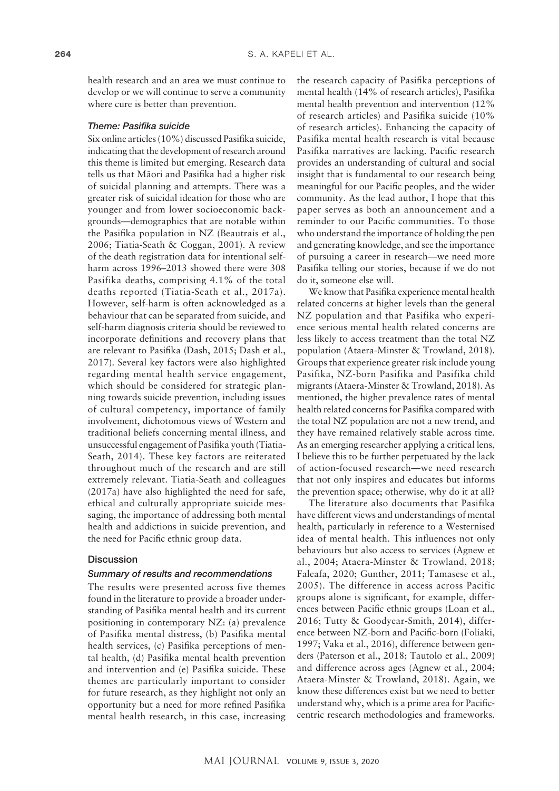health research and an area we must continue to develop or we will continue to serve a community where cure is better than prevention.

#### *Theme: Pasifika suicide*

Six online articles (10%) discussed Pasifika suicide, indicating that the development of research around this theme is limited but emerging. Research data tells us that Mäori and Pasifika had a higher risk of suicidal planning and attempts. There was a greater risk of suicidal ideation for those who are younger and from lower socioeconomic backgrounds—demographics that are notable within the Pasifika population in NZ (Beautrais et al., 2006; Tiatia-Seath & Coggan, 2001). A review of the death registration data for intentional selfharm across 1996–2013 showed there were 308 Pasifika deaths, comprising 4.1% of the total deaths reported (Tiatia-Seath et al., 2017a). However, self-harm is often acknowledged as a behaviour that can be separated from suicide, and self-harm diagnosis criteria should be reviewed to incorporate definitions and recovery plans that are relevant to Pasifika (Dash, 2015; Dash et al., 2017). Several key factors were also highlighted regarding mental health service engagement, which should be considered for strategic planning towards suicide prevention, including issues of cultural competency, importance of family involvement, dichotomous views of Western and traditional beliefs concerning mental illness, and unsuccessful engagement of Pasifika youth (Tiatia-Seath, 2014). These key factors are reiterated throughout much of the research and are still extremely relevant. Tiatia-Seath and colleagues (2017a) have also highlighted the need for safe, ethical and culturally appropriate suicide messaging, the importance of addressing both mental health and addictions in suicide prevention, and the need for Pacific ethnic group data.

## **Discussion**

#### *Summary of results and recommendations*

The results were presented across five themes found in the literature to provide a broader understanding of Pasifika mental health and its current positioning in contemporary NZ: (a) prevalence of Pasifika mental distress, (b) Pasifika mental health services, (c) Pasifika perceptions of mental health, (d) Pasifika mental health prevention and intervention and (e) Pasifika suicide. These themes are particularly important to consider for future research, as they highlight not only an opportunity but a need for more refined Pasifika mental health research, in this case, increasing

the research capacity of Pasifika perceptions of mental health (14% of research articles), Pasifika mental health prevention and intervention (12% of research articles) and Pasifika suicide (10% of research articles). Enhancing the capacity of Pasifika mental health research is vital because Pasifika narratives are lacking. Pacific research provides an understanding of cultural and social insight that is fundamental to our research being meaningful for our Pacific peoples, and the wider community. As the lead author, I hope that this paper serves as both an announcement and a reminder to our Pacific communities. To those who understand the importance of holding the pen and generating knowledge, and see the importance of pursuing a career in research—we need more Pasifika telling our stories, because if we do not do it, someone else will.

We know that Pasifika experience mental health related concerns at higher levels than the general NZ population and that Pasifika who experience serious mental health related concerns are less likely to access treatment than the total NZ population (Ataera-Minster & Trowland, 2018). Groups that experience greater risk include young Pasifika, NZ-born Pasifika and Pasifika child migrants (Ataera-Minster & Trowland, 2018). As mentioned, the higher prevalence rates of mental health related concerns for Pasifika compared with the total NZ population are not a new trend, and they have remained relatively stable across time. As an emerging researcher applying a critical lens, I believe this to be further perpetuated by the lack of action-focused research—we need research that not only inspires and educates but informs the prevention space; otherwise, why do it at all?

The literature also documents that Pasifika have different views and understandings of mental health, particularly in reference to a Westernised idea of mental health. This influences not only behaviours but also access to services (Agnew et al., 2004; Ataera-Minster & Trowland, 2018; Faleafa, 2020; Gunther, 2011; Tamasese et al., 2005). The difference in access across Pacific groups alone is significant, for example, differences between Pacific ethnic groups (Loan et al., 2016; Tutty & Goodyear-Smith, 2014), difference between NZ-born and Pacific-born (Foliaki, 1997; Vaka et al., 2016), difference between genders (Paterson et al., 2018; Tautolo et al., 2009) and difference across ages (Agnew et al., 2004; Ataera-Minster & Trowland, 2018). Again, we know these differences exist but we need to better understand why, which is a prime area for Pacificcentric research methodologies and frameworks.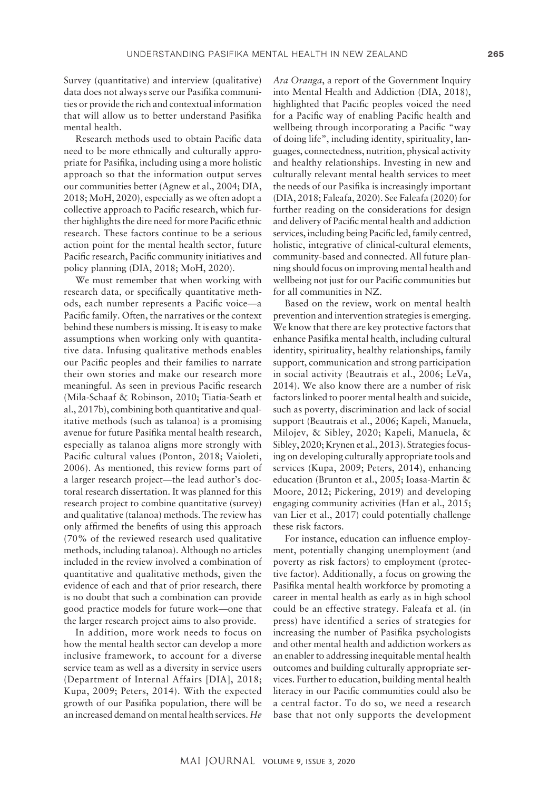Survey (quantitative) and interview (qualitative) data does not always serve our Pasifika communities or provide the rich and contextual information that will allow us to better understand Pasifika mental health.

Research methods used to obtain Pacific data need to be more ethnically and culturally appropriate for Pasifika, including using a more holistic approach so that the information output serves our communities better (Agnew et al., 2004; DIA, 2018; MoH, 2020), especially as we often adopt a collective approach to Pacific research, which further highlights the dire need for more Pacific ethnic research. These factors continue to be a serious action point for the mental health sector, future Pacific research, Pacific community initiatives and policy planning (DIA, 2018; MoH, 2020).

We must remember that when working with research data, or specifically quantitative methods, each number represents a Pacific voice—a Pacific family. Often, the narratives or the context behind these numbers is missing. It is easy to make assumptions when working only with quantitative data. Infusing qualitative methods enables our Pacific peoples and their families to narrate their own stories and make our research more meaningful. As seen in previous Pacific research (Mila-Schaaf & Robinson, 2010; Tiatia-Seath et al., 2017b), combining both quantitative and qualitative methods (such as talanoa) is a promising avenue for future Pasifika mental health research, especially as talanoa aligns more strongly with Pacific cultural values (Ponton, 2018; Vaioleti, 2006). As mentioned, this review forms part of a larger research project—the lead author's doctoral research dissertation. It was planned for this research project to combine quantitative (survey) and qualitative (talanoa) methods. The review has only affirmed the benefits of using this approach (70% of the reviewed research used qualitative methods, including talanoa). Although no articles included in the review involved a combination of quantitative and qualitative methods, given the evidence of each and that of prior research, there is no doubt that such a combination can provide good practice models for future work—one that the larger research project aims to also provide.

In addition, more work needs to focus on how the mental health sector can develop a more inclusive framework, to account for a diverse service team as well as a diversity in service users (Department of Internal Affairs [DIA], 2018; Kupa, 2009; Peters, 2014). With the expected growth of our Pasifika population, there will be an increased demand on mental health services. *He* 

*Ara Oranga*, a report of the Government Inquiry into Mental Health and Addiction (DIA, 2018), highlighted that Pacific peoples voiced the need for a Pacific way of enabling Pacific health and wellbeing through incorporating a Pacific "way of doing life", including identity, spirituality, languages, connectedness, nutrition, physical activity and healthy relationships. Investing in new and culturally relevant mental health services to meet the needs of our Pasifika is increasingly important (DIA, 2018; Faleafa, 2020). See Faleafa (2020) for further reading on the considerations for design and delivery of Pacific mental health and addiction services, including being Pacific led, family centred, holistic, integrative of clinical-cultural elements, community-based and connected. All future planning should focus on improving mental health and wellbeing not just for our Pacific communities but for all communities in NZ.

Based on the review, work on mental health prevention and intervention strategies is emerging. We know that there are key protective factors that enhance Pasifika mental health, including cultural identity, spirituality, healthy relationships, family support, communication and strong participation in social activity (Beautrais et al., 2006; LeVa, 2014). We also know there are a number of risk factors linked to poorer mental health and suicide, such as poverty, discrimination and lack of social support (Beautrais et al., 2006; Kapeli, Manuela, Milojev, & Sibley, 2020; Kapeli, Manuela, & Sibley, 2020; Krynen et al., 2013). Strategies focusing on developing culturally appropriate tools and services (Kupa, 2009; Peters, 2014), enhancing education (Brunton et al., 2005; Ioasa-Martin & Moore, 2012; Pickering, 2019) and developing engaging community activities (Han et al., 2015; van Lier et al., 2017) could potentially challenge these risk factors.

For instance, education can influence employment, potentially changing unemployment (and poverty as risk factors) to employment (protective factor). Additionally, a focus on growing the Pasifika mental health workforce by promoting a career in mental health as early as in high school could be an effective strategy. Faleafa et al. (in press) have identified a series of strategies for increasing the number of Pasifika psychologists and other mental health and addiction workers as an enabler to addressing inequitable mental health outcomes and building culturally appropriate services. Further to education, building mental health literacy in our Pacific communities could also be a central factor. To do so, we need a research base that not only supports the development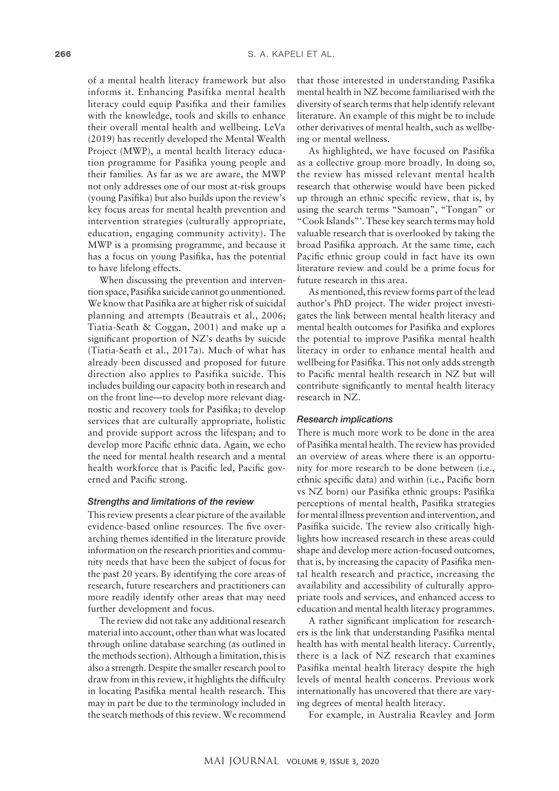of a mental health literacy framework but also informs it. Enhancing Pasifika mental health literacy could equip Pasifika and their families with the knowledge, tools and skills to enhance their overall mental health and wellbeing. LeVa (2019) has recently developed the Mental Wealth Project (MWP), a mental health literacy education programme for Pasifika young people and their families. As far as we are aware, the MWP not only addresses one of our most at-risk groups (young Pasifika) but also builds upon the review's key focus areas for mental health prevention and intervention strategies (culturally appropriate, education, engaging community activity). The MWP is a promising programme, and because it has a focus on young Pasifika, has the potential to have lifelong effects.

When discussing the prevention and intervention space, Pasifika suicide cannot go unmentioned. We know that Pasifika are at higher risk of suicidal planning and attempts (Beautrais et al., 2006; Tiatia-Seath & Coggan, 2001) and make up a significant proportion of NZ's deaths by suicide (Tiatia-Seath et al., 2017a). Much of what has already been discussed and proposed for future direction also applies to Pasifika suicide. This includes building our capacity both in research and on the front line—to develop more relevant diagnostic and recovery tools for Pasifika; to develop services that are culturally appropriate, holistic and provide support across the lifespan; and to develop more Pacific ethnic data. Again, we echo the need for mental health research and a mental health workforce that is Pacific led, Pacific governed and Pacific strong.

## *Strengths and limitations of the review*

This review presents a clear picture of the available evidence-based online resources. The five overarching themes identified in the literature provide information on the research priorities and community needs that have been the subject of focus for the past 20 years. By identifying the core areas of research, future researchers and practitioners can more readily identify other areas that may need further development and focus.

The review did not take any additional research material into account, other than what was located through online database searching (as outlined in the methods section). Although a limitation, this is also a strength. Despite the smaller research pool to draw from in this review, it highlights the difficulty in locating Pasifika mental health research. This may in part be due to the terminology included in the search methods of this review. We recommend

that those interested in understanding Pasifika mental health in NZ become familiarised with the diversity of search terms that help identify relevant literature. An example of this might be to include other derivatives of mental health, such as wellbeing or mental wellness.

As highlighted, we have focused on Pasifika as a collective group more broadly. In doing so, the review has missed relevant mental health research that otherwise would have been picked up through an ethnic specific review, that is, by using the search terms "Samoan", "Tongan" or "Cook Islands"'. These key search terms may hold valuable research that is overlooked by taking the broad Pasifika approach. At the same time, each Pacific ethnic group could in fact have its own literature review and could be a prime focus for future research in this area.

As mentioned, this review forms part of the lead author's PhD project. The wider project investigates the link between mental health literacy and mental health outcomes for Pasifika and explores the potential to improve Pasifika mental health literacy in order to enhance mental health and wellbeing for Pasifika. This not only adds strength to Pacific mental health research in NZ but will contribute significantly to mental health literacy research in NZ.

### *Research implications*

There is much more work to be done in the area of Pasifika mental health. The review has provided an overview of areas where there is an opportunity for more research to be done between (i.e., ethnic specific data) and within (i.e., Pacific born vs NZ born) our Pasifika ethnic groups: Pasifika perceptions of mental health, Pasifika strategies for mental illness prevention and intervention, and Pasifika suicide. The review also critically highlights how increased research in these areas could shape and develop more action-focused outcomes, that is, by increasing the capacity of Pasifika mental health research and practice, increasing the availability and accessibility of culturally appropriate tools and services, and enhanced access to education and mental health literacy programmes.

A rather significant implication for researchers is the link that understanding Pasifika mental health has with mental health literacy. Currently, there is a lack of NZ research that examines Pasifika mental health literacy despite the high levels of mental health concerns. Previous work internationally has uncovered that there are varying degrees of mental health literacy.

For example, in Australia Reavley and Jorm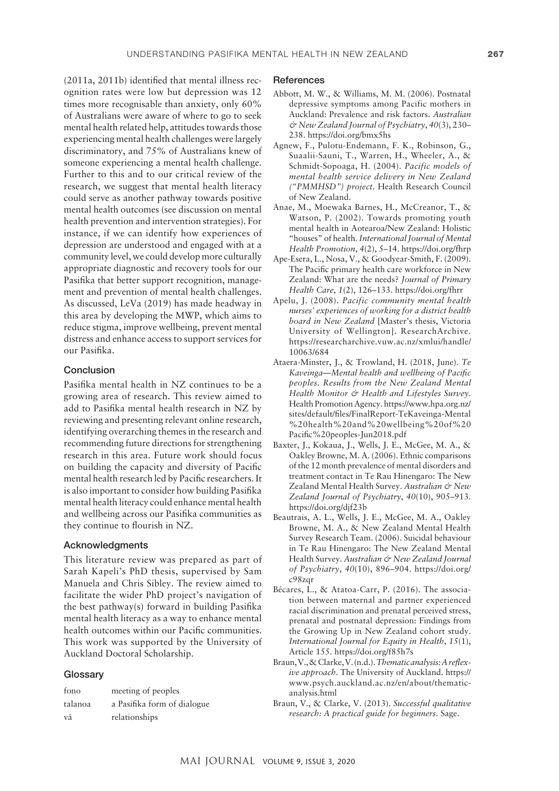(2011a, 2011b) identified that mental illness recognition rates were low but depression was 12 times more recognisable than anxiety, only 60% of Australians were aware of where to go to seek mental health related help, attitudes towards those experiencing mental health challenges were largely discriminatory, and 75% of Australians knew of someone experiencing a mental health challenge. Further to this and to our critical review of the research, we suggest that mental health literacy could serve as another pathway towards positive mental health outcomes (see discussion on mental health prevention and intervention strategies). For instance, if we can identify how experiences of depression are understood and engaged with at a community level, we could develop more culturally appropriate diagnostic and recovery tools for our Pasifika that better support recognition, management and prevention of mental health challenges. As discussed, LeVa (2019) has made headway in this area by developing the MWP, which aims to reduce stigma, improve wellbeing, prevent mental distress and enhance access to support services for our Pasifika.

## Conclusion

Pasifika mental health in NZ continues to be a growing area of research. This review aimed to add to Pasifika mental health research in NZ by reviewing and presenting relevant online research, identifying overarching themes in the research and recommending future directions for strengthening research in this area. Future work should focus on building the capacity and diversity of Pacific mental health research led by Pacific researchers. It is also important to consider how building Pasifika mental health literacy could enhance mental health and wellbeing across our Pasifika communities as they continue to flourish in NZ.

#### Acknowledgments

This literature review was prepared as part of Sarah Kapeli's PhD thesis, supervised by Sam Manuela and Chris Sibley. The review aimed to facilitate the wider PhD project's navigation of the best pathway(s) forward in building Pasifika mental health literacy as a way to enhance mental health outcomes within our Pacific communities. This work was supported by the University of Auckland Doctoral Scholarship.

## **Glossary**

| fono    | meeting of peoples          |
|---------|-----------------------------|
| talanoa | a Pasifika form of dialogue |
| vā      | relationships               |

#### **References**

- Abbott, M. W., & Williams, M. M. (2006). Postnatal depressive symptoms among Pacific mothers in Auckland: Prevalence and risk factors. *Australian & New Zealand Journal of Psychiatry*, *40*(3), 230– 238. <https://doi.org/bmx5hs>
- Agnew, F., Pulotu-Endemann, F. K., Robinson, G., Suaalii-Sauni, T., Warren, H., Wheeler, A., & Schmidt-Sopoaga, H. (2004). *Pacific models of mental health service delivery in New Zealand ("PMMHSD") project*. Health Research Council of New Zealand.
- Anae, M., Moewaka Barnes, H., McCreanor, T., & Watson, P. (2002). Towards promoting youth mental health in Aotearoa/New Zealand: Holistic "houses" of health. *International Journal of Mental Health Promotion*, *4*(2), 5–14.<https://doi.org/fhrp>
- Ape-Esera, L., Nosa, V., & Goodyear-Smith, F. (2009). The Pacific primary health care workforce in New Zealand: What are the needs? *Journal of Primary Health Care*, *1*(2), 126–133. <https://doi.org/fhrr>
- Apelu, J. (2008). *Pacific community mental health nurses' experiences of working for a district health board in New Zealand* [Master's thesis, Victoria University of Wellington]. ResearchArchive. [https://researcharchive.vuw.ac.nz/xmlui/handle/](https://researcharchive.vuw.ac.nz/xmlui/handle/10063/684) [10063/684](https://researcharchive.vuw.ac.nz/xmlui/handle/10063/684)
- Ataera-Minster, J., & Trowland, H. (2018, June). *Te Kaveinga—Mental health and wellbeing of Pacific peoples. Results from the New Zealand Mental Health Monitor & Health and Lifestyles Survey*. Health Promotion Agency. [https://www.hpa.org.nz/](https://www.hpa.org.nz/sites/default/files/FinalReport-TeKaveinga-Mental%20health%20and%20wellbeing%20of%20Pacific%20peoples-Jun2018.pdf) [sites/default/files/FinalReport-TeKaveinga-Mental](https://www.hpa.org.nz/sites/default/files/FinalReport-TeKaveinga-Mental%20health%20and%20wellbeing%20of%20Pacific%20peoples-Jun2018.pdf) [%20health%20and%20wellbeing%20of%20](https://www.hpa.org.nz/sites/default/files/FinalReport-TeKaveinga-Mental%20health%20and%20wellbeing%20of%20Pacific%20peoples-Jun2018.pdf) [Pacific%20peoples-Jun2018.pdf](https://www.hpa.org.nz/sites/default/files/FinalReport-TeKaveinga-Mental%20health%20and%20wellbeing%20of%20Pacific%20peoples-Jun2018.pdf)
- Baxter, J., Kokaua, J., Wells, J. E., McGee, M. A., & Oakley Browne, M. A. (2006). Ethnic comparisons of the 12 month prevalence of mental disorders and treatment contact in Te Rau Hinengaro: The New Zealand Mental Health Survey. *Australian & New Zealand Journal of Psychiatry*, *40*(10), 905–913. <https://doi.org/djf23b>
- Beautrais, A. L., Wells, J. E., McGee, M. A., Oakley Browne, M. A., & New Zealand Mental Health Survey Research Team. (2006). Suicidal behaviour in Te Rau Hinengaro: The New Zealand Mental Health Survey. *Australian & New Zealand Journal of Psychiatry*, *40*(10), 896–904. [https://doi.org/](https://doi.org/c98zqr) [c98zqr](https://doi.org/c98zqr)
- Bécares, L., & Atatoa-Carr, P. (2016). The association between maternal and partner experienced racial discrimination and prenatal perceived stress, prenatal and postnatal depression: Findings from the Growing Up in New Zealand cohort study. *International Journal for Equity in Health*, *15*(1), Article 155.<https://doi.org/f85h7s>
- Braun, V., & Clarke, V. (n.d.). *Thematic analysis: A reflexive approach*. The University of Auckland. [https://](https://www.psych.auckland.ac.nz/en/about/thematic-analysis.html) [www.psych.auckland.ac.nz/en/about/thematic](https://www.psych.auckland.ac.nz/en/about/thematic-analysis.html)[analysis.html](https://www.psych.auckland.ac.nz/en/about/thematic-analysis.html)
- Braun, V., & Clarke, V. (2013). *Successful qualitative research: A practical guide for beginners*. Sage.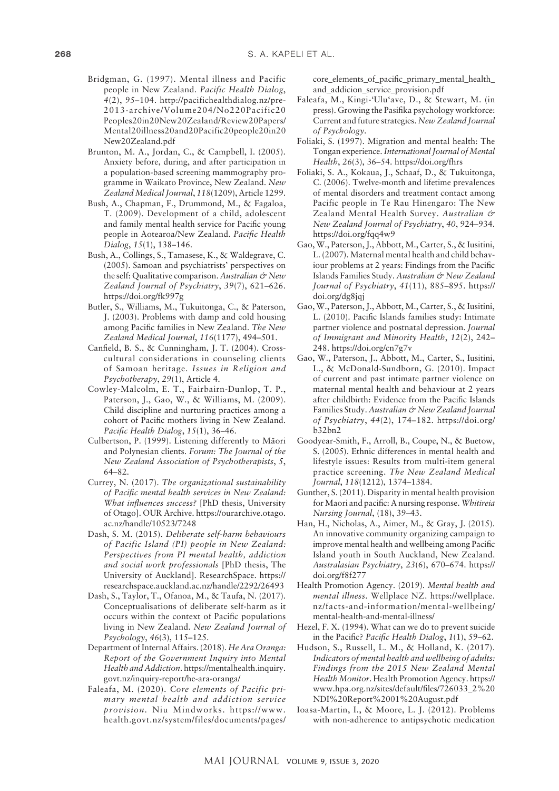- Bridgman, G. (1997). Mental illness and Pacific people in New Zealand. *Pacific Health Dialog*, *4*(2), 95–104. [http://pacifichealthdialog.nz/pre-](http://pacifichealthdialog.nz/pre-2013-archive/Volume204/No220Pacific20Peoples20in20New20Zealand/Review20Papers/Mental20illness 20and20Pacific20people20in20New20Zealand.pdf)[2013-archive/Volume204/No220Pacific20](http://pacifichealthdialog.nz/pre-2013-archive/Volume204/No220Pacific20Peoples20in20New20Zealand/Review20Papers/Mental20illness 20and20Pacific20people20in20New20Zealand.pdf) [Peoples20in20New20Zealand/Review20Papers/](http://pacifichealthdialog.nz/pre-2013-archive/Volume204/No220Pacific20Peoples20in20New20Zealand/Review20Papers/Mental20illness 20and20Pacific20people20in20New20Zealand.pdf) [Mental20illness20and20Pacific20people20in20](http://pacifichealthdialog.nz/pre-2013-archive/Volume204/No220Pacific20Peoples20in20New20Zealand/Review20Papers/Mental20illness 20and20Pacific20people20in20New20Zealand.pdf) [New20Zealand.pdf](http://pacifichealthdialog.nz/pre-2013-archive/Volume204/No220Pacific20Peoples20in20New20Zealand/Review20Papers/Mental20illness 20and20Pacific20people20in20New20Zealand.pdf)
- Brunton, M. A., Jordan, C., & Campbell, I. (2005). Anxiety before, during, and after participation in a population-based screening mammography programme in Waikato Province, New Zealand. *New Zealand Medical Journal*, *118*(1209), Article 1299.
- Bush, A., Chapman, F., Drummond, M., & Fagaloa, T. (2009). Development of a child, adolescent and family mental health service for Pacific young people in Aotearoa/New Zealand. *Pacific Health Dialog*, *15*(1), 138–146.
- Bush, A., Collings, S., Tamasese, K., & Waldegrave, C. (2005). Samoan and psychiatrists' perspectives on the self: Qualitative comparison. *Australian & New Zealand Journal of Psychiatry*, *39*(7), 621–626. <https://doi.org/fk997g>
- Butler, S., Williams, M., Tukuitonga, C., & Paterson, J. (2003). Problems with damp and cold housing among Pacific families in New Zealand. *The New Zealand Medical Journal*, *116*(1177), 494–501.
- Canfield, B. S., & Cunningham, J. T. (2004). Crosscultural considerations in counseling clients of Samoan heritage. *Issues in Religion and Psychotherapy*, *29*(1), Article 4.
- Cowley-Malcolm, E. T., Fairbairn-Dunlop, T. P., Paterson, J., Gao, W., & Williams, M. (2009). Child discipline and nurturing practices among a cohort of Pacific mothers living in New Zealand. *Pacific Health Dialog*, *15*(1), 36–46.
- Culbertson, P. (1999). Listening differently to Mäori and Polynesian clients. *Forum: The Journal of the New Zealand Association of Psychotherapists*, *5*, 64–82.
- Currey, N. (2017). *The organizational sustainability of Pacific mental health services in New Zealand: What influences success?* [PhD thesis, University of Otago]. OUR Archive. [https://ourarchive.otago.](https://ourarchive.otago.ac.nz/handle/10523/7248) [ac.nz/handle/10523/7248](https://ourarchive.otago.ac.nz/handle/10523/7248)
- Dash, S. M. (2015). *Deliberate self-harm behaviours of Pacific Island (PI) people in New Zealand: Perspectives from PI mental health, addiction and social work professionals* [PhD thesis, The University of Auckland]. ResearchSpace. [https://](https://researchspace.auckland.ac.nz/handle/2292/26493) [researchspace.auckland.ac.nz/handle/2292/26493](https://researchspace.auckland.ac.nz/handle/2292/26493)
- Dash, S., Taylor, T., Ofanoa, M., & Taufa, N. (2017). Conceptualisations of deliberate self-harm as it occurs within the context of Pacific populations living in New Zealand. *New Zealand Journal of Psychology*, *46*(3), 115–125.
- Department of Internal Affairs. (2018). *He Ara Oranga: Report of the Government Inquiry into Mental Health and Addiction*. [https://mentalhealth.inquiry.](https://mentalhealth.inquiry.govt.nz/inquiry-report/he-ara-oranga/) [govt.nz/inquiry-report/he-ara-oranga/](https://mentalhealth.inquiry.govt.nz/inquiry-report/he-ara-oranga/)
- Faleafa, M. (2020). *Core elements of Pacific primary mental health and addiction service provision.* Niu Mindworks. [https://www.](https://www.health.govt.nz/system/files/documents/pages/core_elements_of_pacific_primary_mental_health_and_addicion_service_provision.pdf) [health.govt.nz/system/files/documents/pages/](https://www.health.govt.nz/system/files/documents/pages/core_elements_of_pacific_primary_mental_health_and_addicion_service_provision.pdf)

[core\\_elements\\_of\\_pacific\\_primary\\_mental\\_health\\_](https://www.health.govt.nz/system/files/documents/pages/core_elements_of_pacific_primary_mental_health_and_addicion_service_provision.pdf) and addicion service provision.pdf

- Faleafa, M., Kingi-'Ulu'ave, D., & Stewart, M. (in press). Growing the Pasifika psychology workforce: Current and future strategies. *New Zealand Journal of Psychology*.
- Foliaki, S. (1997). Migration and mental health: The Tongan experience. *International Journal of Mental Health*, *26*(3), 36–54.<https://doi.org/fhrs>
- Foliaki, S. A., Kokaua, J., Schaaf, D., & Tukuitonga, C. (2006). Twelve-month and lifetime prevalences of mental disorders and treatment contact among Pacific people in Te Rau Hinengaro: The New Zealand Mental Health Survey. *Australian & New Zealand Journal of Psychiatry*, *40*, 924–934. <https://doi.org/fqq4w9>
- Gao, W., Paterson, J., Abbott, M., Carter, S., & Iusitini, L. (2007). Maternal mental health and child behaviour problems at 2 years: Findings from the Pacific Islands Families Study. *Australian & New Zealand Journal of Psychiatry*, *41*(11), 885–895. [https://](https://doi.org/dg8jqj) [doi.org/dg8jqj](https://doi.org/dg8jqj)
- Gao, W., Paterson, J., Abbott, M., Carter, S., & Iusitini, L. (2010). Pacific Islands families study: Intimate partner violence and postnatal depression. *Journal of Immigrant and Minority Health*, *12*(2), 242– 248.<https://doi.org/cn7g7v>
- Gao, W., Paterson, J., Abbott, M., Carter, S., Iusitini, L., & McDonald-Sundborn, G. (2010). Impact of current and past intimate partner violence on maternal mental health and behaviour at 2 years after childbirth: Evidence from the Pacific Islands Families Study. *Australian & New Zealand Journal of Psychiatry*, *44*(2), 174–182. [https://doi.org/](https://doi.org/b32bn2) [b32bn2](https://doi.org/b32bn2)
- Goodyear-Smith, F., Arroll, B., Coupe, N., & Buetow, S. (2005). Ethnic differences in mental health and lifestyle issues: Results from multi-item general practice screening. *The New Zealand Medical Journal*, *118*(1212), 1374–1384.
- Gunther, S. (2011). Disparity in mental health provision for Maori and pacific: A nursing response. *Whitireia Nursing Journal*, (18), 39–43.
- Han, H., Nicholas, A., Aimer, M., & Gray, J. (2015). An innovative community organizing campaign to improve mental health and wellbeing among Pacific Island youth in South Auckland, New Zealand. *Australasian Psychiatry*, *23*(6), 670–674. [https://](https://doi.org/f8f277) [doi.org/f8f277](https://doi.org/f8f277)
- Health Promotion Agency. (2019). *Mental health and mental illness*. Wellplace NZ. [https://wellplace.](https://wellplace.nz/facts-and-information/mental-wellbeing/mental-health-and-mental-illness/) [nz/facts-and-information/mental-wellbeing/](https://wellplace.nz/facts-and-information/mental-wellbeing/mental-health-and-mental-illness/) [mental-health-and-mental-illness/](https://wellplace.nz/facts-and-information/mental-wellbeing/mental-health-and-mental-illness/)
- Hezel, F. X. (1994). What can we do to prevent suicide in the Pacific? *Pacific Health Dialog*, *1*(1), 59–62.
- Hudson, S., Russell, L. M., & Holland, K. (2017). *Indicators of mental health and wellbeing of adults: Findings from the 2015 New Zealand Mental Health Monitor*. Health Promotion Agency. [https://](https://www.hpa.org.nz/sites/default/files/726033_2%20NDI%20Report%2001%20August.pdf) [www.hpa.org.nz/sites/default/files/726033\\_2%20](https://www.hpa.org.nz/sites/default/files/726033_2%20NDI%20Report%2001%20August.pdf) [NDI%20Report%2001%20August.pdf](https://www.hpa.org.nz/sites/default/files/726033_2%20NDI%20Report%2001%20August.pdf)
- Ioasa-Martin, I., & Moore, L. J. (2012). Problems with non-adherence to antipsychotic medication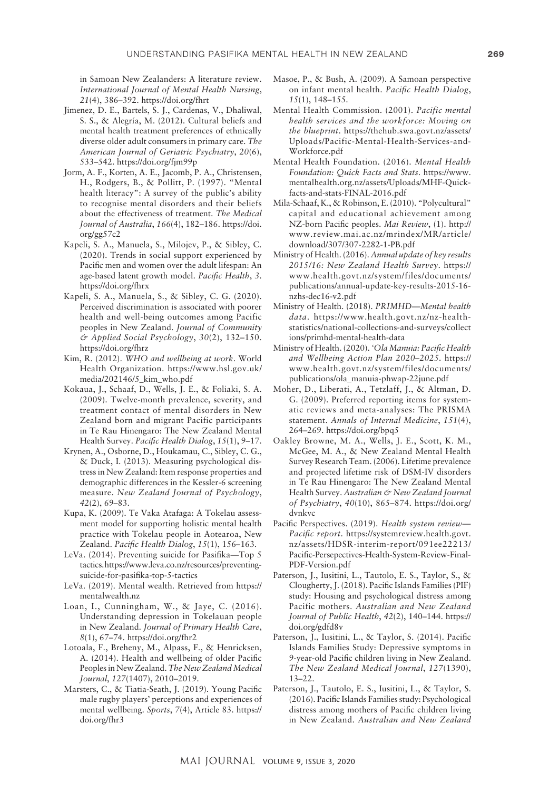in Samoan New Zealanders: A literature review. *International Journal of Mental Health Nursing*, *21*(4), 386–392. <https://doi.org/fhrt>

- Jimenez, D. E., Bartels, S. J., Cardenas, V., Dhaliwal, S. S., & Alegría, M. (2012). Cultural beliefs and mental health treatment preferences of ethnically diverse older adult consumers in primary care. *The American Journal of Geriatric Psychiatry*, *20*(6), 533–542. <https://doi.org/fjm99p>
- Jorm, A. F., Korten, A. E., Jacomb, P. A., Christensen, H., Rodgers, B., & Pollitt, P. (1997). "Mental health literacy": A survey of the public's ability to recognise mental disorders and their beliefs about the effectiveness of treatment. *The Medical Journal of Australia*, *166*(4), 182–186. [https://doi.](https://doi.org/gg57c2) [org/gg57c2](https://doi.org/gg57c2)
- Kapeli, S. A., Manuela, S., Milojev, P., & Sibley, C. (2020). Trends in social support experienced by Pacific men and women over the adult lifespan: An age-based latent growth model. *Pacific Health*, *3*. <https://doi.org/fhrx>
- Kapeli, S. A., Manuela, S., & Sibley, C. G. (2020). Perceived discrimination is associated with poorer health and well-being outcomes among Pacific peoples in New Zealand. *Journal of Community & Applied Social Psychology*, *30*(2), 132–150. <https://doi.org/fhrz>
- Kim, R. (2012). *WHO and wellbeing at work*. World Health Organization. [https://www.hsl.gov.uk/](https://www.hsl.gov.uk/media/202146/5_kim_who.pdf) [media/202146/5\\_kim\\_who.pdf](https://www.hsl.gov.uk/media/202146/5_kim_who.pdf)
- Kokaua, J., Schaaf, D., Wells, J. E., & Foliaki, S. A. (2009). Twelve-month prevalence, severity, and treatment contact of mental disorders in New Zealand born and migrant Pacific participants in Te Rau Hinengaro: The New Zealand Mental Health Survey. *Pacific Health Dialog*, *15*(1), 9–17.
- Krynen, A., Osborne, D., Houkamau, C., Sibley, C. G., & Duck, I. (2013). Measuring psychological distress in New Zealand: Item response properties and demographic differences in the Kessler-6 screening measure. *New Zealand Journal of Psychology*, *42*(2), 69–83.
- Kupa, K. (2009). Te Vaka Atafaga: A Tokelau assessment model for supporting holistic mental health practice with Tokelau people in Aotearoa, New Zealand. *Pacific Health Dialog*, *15*(1), 156–163.
- LeVa. (2014). Preventing suicide for Pasifika—Top 5 tactics. [https://www.leva.co.nz/resources/preventing](https://www.leva.co.nz/resources/preventing-suicide-for-pasifika-top-5-tactics)[suicide-for-pasifika-top-5-tactics](https://www.leva.co.nz/resources/preventing-suicide-for-pasifika-top-5-tactics)
- LeVa. (2019). Mental wealth. Retrieved from [https://](https://mentalwealth.nz) [mentalwealth.nz](https://mentalwealth.nz)
- Loan, I., Cunningham, W., & Jaye, C. (2016). Understanding depression in Tokelauan people in New Zealand. *Journal of Primary Health Care*, *8*(1), 67–74. <https://doi.org/fhr2>
- Lotoala, F., Breheny, M., Alpass, F., & Henricksen, A. (2014). Health and wellbeing of older Pacific Peoples in New Zealand. *The New Zealand Medical Journal*, *127*(1407), 2010–2019.
- Marsters, C., & Tiatia-Seath, J. (2019). Young Pacific male rugby players' perceptions and experiences of mental wellbeing. *Sports*, *7*(4), Article 83. [https://](https://doi.org/fhr3) [doi.org/fhr3](https://doi.org/fhr3)
- Masoe, P., & Bush, A. (2009). A Samoan perspective on infant mental health. *Pacific Health Dialog*, *15*(1), 148–155.
- Mental Health Commission. (2001). *Pacific mental health services and the workforce: Moving on the blueprint*. [https://thehub.swa.govt.nz/assets/](https://thehub.swa.govt.nz/assets/Uploads/Pacific-Mental-Health-Services-and-Workforce.pdf) [Uploads/Pacific-Mental-Health-Services-and-](https://thehub.swa.govt.nz/assets/Uploads/Pacific-Mental-Health-Services-and-Workforce.pdf)[Workforce.pdf](https://thehub.swa.govt.nz/assets/Uploads/Pacific-Mental-Health-Services-and-Workforce.pdf)
- Mental Health Foundation. (2016). *Mental Health Foundation: Quick Facts and Stats*. [https://www.](https://www.mentalhealth.org.nz/assets/Uploads/MHF-Quick-facts-and-stats-FINAL-2016.pdf) [mentalhealth.org.nz/assets/Uploads/MHF-Quick](https://www.mentalhealth.org.nz/assets/Uploads/MHF-Quick-facts-and-stats-FINAL-2016.pdf)[facts-and-stats-FINAL-2016.pdf](https://www.mentalhealth.org.nz/assets/Uploads/MHF-Quick-facts-and-stats-FINAL-2016.pdf)
- Mila-Schaaf, K., & Robinson, E. (2010). "Polycultural" capital and educational achievement among NZ-born Pacific peoples. *Mai Review*, (1). [http://](http://www.review.mai.ac.nz/mrindex/MR/article/download/307/307-2282-1-PB.pdf) [www.review.mai.ac.nz/mrindex/MR/article/](http://www.review.mai.ac.nz/mrindex/MR/article/download/307/307-2282-1-PB.pdf) [download/307/307-2282-1-PB.pdf](http://www.review.mai.ac.nz/mrindex/MR/article/download/307/307-2282-1-PB.pdf)
- Ministry of Health. (2016). *Annual update of key results 2015/16: New Zealand Health Survey*. [https://](https://www.health.govt.nz/system/files/documents/publications/annual-update-key-results-2015-16-nzhs-dec16-v2.pdf) [www.health.govt.nz/system/files/documents/](https://www.health.govt.nz/system/files/documents/publications/annual-update-key-results-2015-16-nzhs-dec16-v2.pdf) [publications/annual-update-key-results-2015-16](https://www.health.govt.nz/system/files/documents/publications/annual-update-key-results-2015-16-nzhs-dec16-v2.pdf) [nzhs-dec16-v2.pdf](https://www.health.govt.nz/system/files/documents/publications/annual-update-key-results-2015-16-nzhs-dec16-v2.pdf)
- Ministry of Health. (2018). *PRIMHD—Mental health data*. [https://www.health.govt.nz/nz-health](https://www.health.govt.nz/nz-health-statistics/national-collections-and-surveys/collections/primhd-mental-health-data)[statistics/national-collections-and-surveys/collect](https://www.health.govt.nz/nz-health-statistics/national-collections-and-surveys/collections/primhd-mental-health-data) [ions/primhd-mental-health-data](https://www.health.govt.nz/nz-health-statistics/national-collections-and-surveys/collections/primhd-mental-health-data)
- Ministry of Health. (2020). *'Ola Manuia: Pacific Health and Wellbeing Action Plan 2020–2025.* https:// [www.health.govt.nz/system/files/documents/](http://www.health.govt.nz/system/files/documents/publications/ola_manuia-phwap-22june.pdf) [publications/ola\\_manuia-phwap-22june.pdf](http://www.health.govt.nz/system/files/documents/publications/ola_manuia-phwap-22june.pdf)
- Moher, D., Liberati, A., Tetzlaff, J., & Altman, D. G. (2009). Preferred reporting items for systematic reviews and meta-analyses: The PRISMA statement. *Annals of Internal Medicine*, *151*(4), 264–269.<https://doi.org/bpq5>
- Oakley Browne, M. A., Wells, J. E., Scott, K. M., McGee, M. A., & New Zealand Mental Health Survey Research Team. (2006). Lifetime prevalence and projected lifetime risk of DSM-IV disorders in Te Rau Hinengaro: The New Zealand Mental Health Survey. *Australian & New Zealand Journal of Psychiatry*, *40*(10), 865–874. [https://doi.org/](https://doi.org/dvnkvc) [dvnkvc](https://doi.org/dvnkvc)
- Pacific Perspectives. (2019). *Health system review— Pacific report*. [https://systemreview.health.govt.](https://systemreview.health.govt.nz/assets/HDSR-interim-report/091ee22213/Pacific-Persepectives-Health-System-Review-Final-PDF-Version.pdf) [nz/assets/HDSR-interim-report/091ee22213/](https://systemreview.health.govt.nz/assets/HDSR-interim-report/091ee22213/Pacific-Persepectives-Health-System-Review-Final-PDF-Version.pdf) [Pacific-Persepectives-Health-System-Review-Final-](https://systemreview.health.govt.nz/assets/HDSR-interim-report/091ee22213/Pacific-Persepectives-Health-System-Review-Final-PDF-Version.pdf)[PDF-Version.pdf](https://systemreview.health.govt.nz/assets/HDSR-interim-report/091ee22213/Pacific-Persepectives-Health-System-Review-Final-PDF-Version.pdf)
- Paterson, J., Iusitini, L., Tautolo, E. S., Taylor, S., & Clougherty, J. (2018). Pacific Islands Families (PIF) study: Housing and psychological distress among Pacific mothers. *Australian and New Zealand Journal of Public Health*, *42*(2), 140–144. [https://](https://doi.org/gdfd8v) [doi.org/gdfd8v](https://doi.org/gdfd8v)
- Paterson, J., Iusitini, L., & Taylor, S. (2014). Pacific Islands Families Study: Depressive symptoms in 9-year-old Pacific children living in New Zealand. *The New Zealand Medical Journal*, *127*(1390), 13–22.
- Paterson, J., Tautolo, E. S., Iusitini, L., & Taylor, S. (2016). Pacific Islands Families study: Psychological distress among mothers of Pacific children living in New Zealand. *Australian and New Zealand*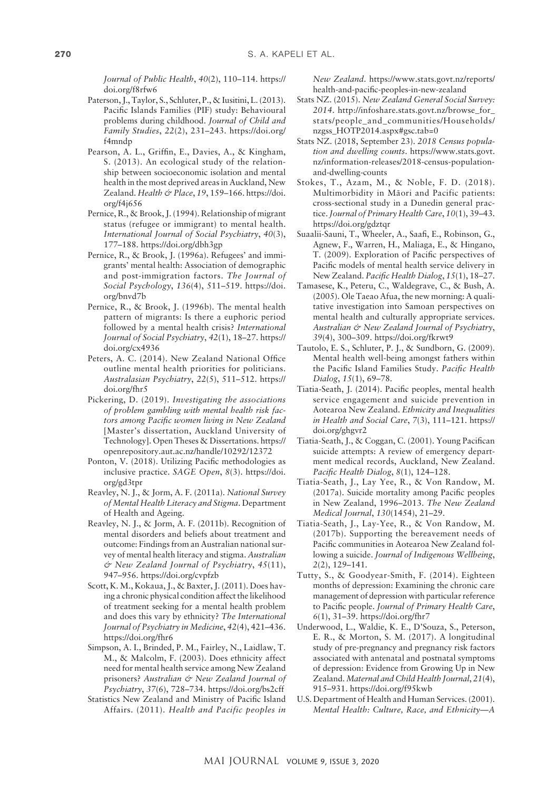*Journal of Public Health*, *40*(2), 110–114. [https://](https://doi.org/f8rfw6) [doi.org/f8rfw6](https://doi.org/f8rfw6)

- Paterson, J., Taylor, S., Schluter, P., & Iusitini, L. (2013). Pacific Islands Families (PIF) study: Behavioural problems during childhood. *Journal of Child and Family Studies*, *22*(2), 231–243. [https://doi.org/](https://doi.org/f4mndp) [f4mndp](https://doi.org/f4mndp)
- Pearson, A. L., Griffin, E., Davies, A., & Kingham, S. (2013). An ecological study of the relationship between socioeconomic isolation and mental health in the most deprived areas in Auckland, New Zealand. *Health & Place*, *19*, 159–166. [https://doi.](https://doi.org/f4j656) [org/f4j656](https://doi.org/f4j656)
- Pernice, R., & Brook, J. (1994). Relationship of migrant status (refugee or immigrant) to mental health. *International Journal of Social Psychiatry*, *40*(3), 177–188.<https://doi.org/dbh3gp>
- Pernice, R., & Brook, J. (1996a). Refugees' and immigrants' mental health: Association of demographic and post-immigration factors. *The Journal of Social Psychology*, *136*(4), 511–519. [https://doi.](https://doi.org/bnvd7b) [org/bnvd7b](https://doi.org/bnvd7b)
- Pernice, R., & Brook, J. (1996b). The mental health pattern of migrants: Is there a euphoric period followed by a mental health crisis? *International Journal of Social Psychiatry*, *42*(1), 18–27. [https://](https://doi.org/cx4936) [doi.org/cx4936](https://doi.org/cx4936)
- Peters, A. C. (2014). New Zealand National Office outline mental health priorities for politicians. *Australasian Psychiatry*, *22*(5), 511–512. [https://](https://doi.org/fhr5) [doi.org/fhr5](https://doi.org/fhr5)
- Pickering, D. (2019). *Investigating the associations of problem gambling with mental health risk factors among Pacific women living in New Zealand* [Master's dissertation, Auckland University of Technology]. Open Theses & Dissertations. [https://](https://openrepository.aut.ac.nz/handle/10292/12372) [openrepository.aut.ac.nz/handle/10292/12372](https://openrepository.aut.ac.nz/handle/10292/12372)
- Ponton, V. (2018). Utilizing Pacific methodologies as inclusive practice. *SAGE Open*, *8*(3). [https://doi.](https://doi.org/gd3tpr) [org/gd3tpr](https://doi.org/gd3tpr)
- Reavley, N. J., & Jorm, A. F. (2011a). *National Survey of Mental Health Literacy and Stigma*. Department of Health and Ageing.
- Reavley, N. J., & Jorm, A. F. (2011b). Recognition of mental disorders and beliefs about treatment and outcome: Findings from an Australian national survey of mental health literacy and stigma. *Australian & New Zealand Journal of Psychiatry*, *45*(11), 947–956.<https://doi.org/cvpfzb>
- Scott, K. M., Kokaua, J., & Baxter, J. (2011). Does having a chronic physical condition affect the likelihood of treatment seeking for a mental health problem and does this vary by ethnicity? *The International Journal of Psychiatry in Medicine*, *42*(4), 421–436. <https://doi.org/fhr6>
- Simpson, A. I., Brinded, P. M., Fairley, N., Laidlaw, T. M., & Malcolm, F. (2003). Does ethnicity affect need for mental health service among New Zealand prisoners? *Australian & New Zealand Journal of Psychiatry*, *37*(6), 728–734. <https://doi.org/bs2cff>
- Statistics New Zealand and Ministry of Pacific Island Affairs. (2011). *Health and Pacific peoples in*

*New Zealand.* [https://www.stats.govt.nz/reports/](https://www.stats.govt.nz/reports/health-and-pacific-peoples-in-new-zealand) [health-and-pacific-peoples-in-new-zealand](https://www.stats.govt.nz/reports/health-and-pacific-peoples-in-new-zealand)

- Stats NZ. (2015). *New Zealand General Social Survey: 2014*. [http://infoshare.stats.govt.nz/browse\\_for\\_](http://infoshare.stats.govt.nz/browse_for_stats/people_and_communities/Households/nzgss_HOTP2014.aspx#gsc.tab=0) [stats/people\\_and\\_communities/Households/](http://infoshare.stats.govt.nz/browse_for_stats/people_and_communities/Households/nzgss_HOTP2014.aspx#gsc.tab=0) [nzgss\\_HOTP2014.aspx#gsc.tab=0](http://infoshare.stats.govt.nz/browse_for_stats/people_and_communities/Households/nzgss_HOTP2014.aspx#gsc.tab=0)
- Stats NZ. (2018, September 23). *2018 Census population and dwelling counts*. [https://www.stats.govt.](https://www.stats.govt.nz/information-releases/2018-census-population-and-dwelling-counts) [nz/information-releases/2018-census-population](https://www.stats.govt.nz/information-releases/2018-census-population-and-dwelling-counts)[and-dwelling-counts](https://www.stats.govt.nz/information-releases/2018-census-population-and-dwelling-counts)
- Stokes, T., Azam, M., & Noble, F. D. (2018). Multimorbidity in Mäori and Pacific patients: cross-sectional study in a Dunedin general practice. *Journal of Primary Health Care*, *10*(1), 39–43. <https://doi.org/gdztqr>
- Suaalii-Sauni, T., Wheeler, A., Saafi, E., Robinson, G., Agnew, F., Warren, H., Maliaga, E., & Hingano, T. (2009). Exploration of Pacific perspectives of Pacific models of mental health service delivery in New Zealand. *Pacific Health Dialog*, *15*(1), 18–27.
- Tamasese, K., Peteru, C., Waldegrave, C., & Bush, A. (2005). Ole Taeao Afua, the new morning: A qualitative investigation into Samoan perspectives on mental health and culturally appropriate services. *Australian & New Zealand Journal of Psychiatry*, *39*(4), 300–309. <https://doi.org/fkrwt9>
- Tautolo, E. S., Schluter, P. J., & Sundborn, G. (2009). Mental health well-being amongst fathers within the Pacific Island Families Study. *Pacific Health Dialog*, *15*(1), 69–78.
- Tiatia-Seath, J. (2014). Pacific peoples, mental health service engagement and suicide prevention in Aotearoa New Zealand. *Ethnicity and Inequalities in Health and Social Care*, *7*(3), 111–121. [https://](https://doi.org/ghgvr2) [doi.org/ghgvr2](https://doi.org/ghgvr2)
- Tiatia-Seath, J., & Coggan, C. (2001). Young Pacifican suicide attempts: A review of emergency department medical records, Auckland, New Zealand. *Pacific Health Dialog*, *8*(1), 124–128.
- Tiatia-Seath, J., Lay Yee, R., & Von Randow, M. (2017a). Suicide mortality among Pacific peoples in New Zealand, 1996–2013. *The New Zealand Medical Journal*, *130*(1454), 21–29.
- Tiatia-Seath, J., Lay-Yee, R., & Von Randow, M. (2017b). Supporting the bereavement needs of Pacific communities in Aotearoa New Zealand following a suicide. *Journal of Indigenous Wellbeing*, *2*(2), 129–141.
- Tutty, S., & Goodyear-Smith, F. (2014). Eighteen months of depression: Examining the chronic care management of depression with particular reference to Pacific people. *Journal of Primary Health Care*, *6*(1), 31–39. <https://doi.org/fhr7>
- Underwood, L., Waldie, K. E., D'Souza, S., Peterson, E. R., & Morton, S. M. (2017). A longitudinal study of pre-pregnancy and pregnancy risk factors associated with antenatal and postnatal symptoms of depression: Evidence from Growing Up in New Zealand. *Maternal and Child Health Journal*, *21*(4), 915–931. <https://doi.org/f95kwb>
- U.S. Department of Health and Human Services. (2001). *Mental Health: Culture, Race, and Ethnicity—A*